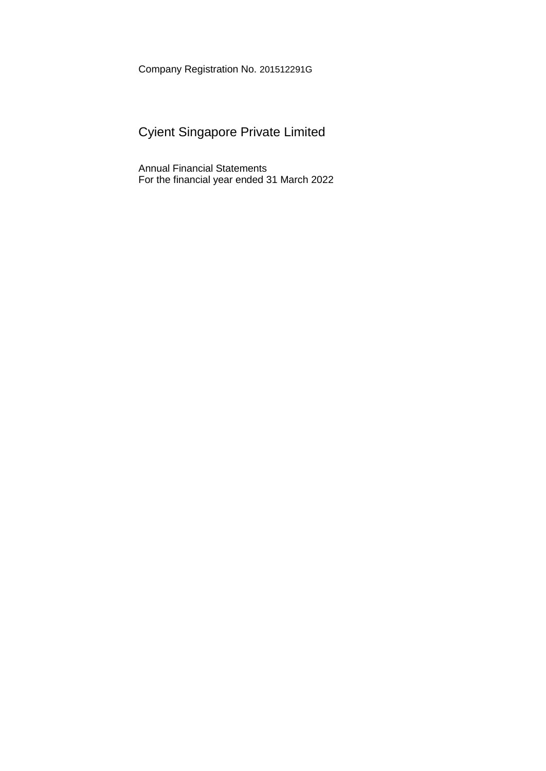Company Registration No. 201512291G

# Cyient Singapore Private Limited

Annual Financial Statements For the financial year ended 31 March 2022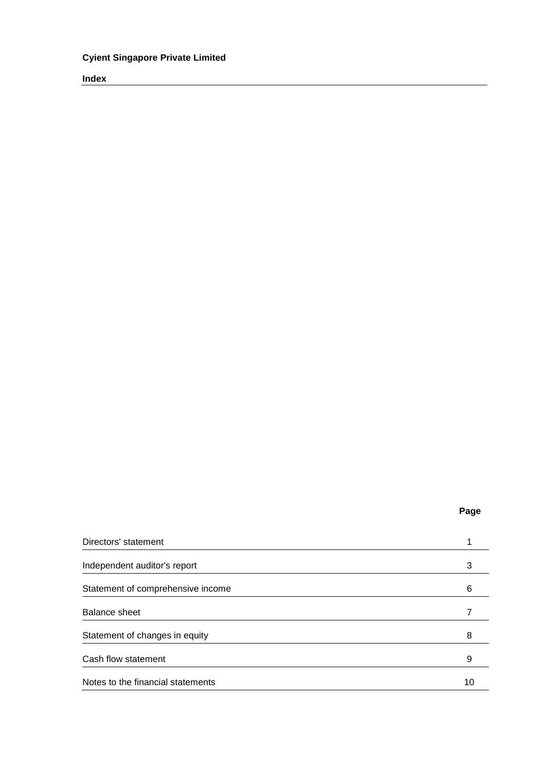**Index**

## **Page**

| Directors' statement              |    |
|-----------------------------------|----|
| Independent auditor's report      | 3  |
| Statement of comprehensive income | 6  |
| <b>Balance sheet</b>              |    |
| Statement of changes in equity    | 8  |
| Cash flow statement               | 9  |
| Notes to the financial statements | 10 |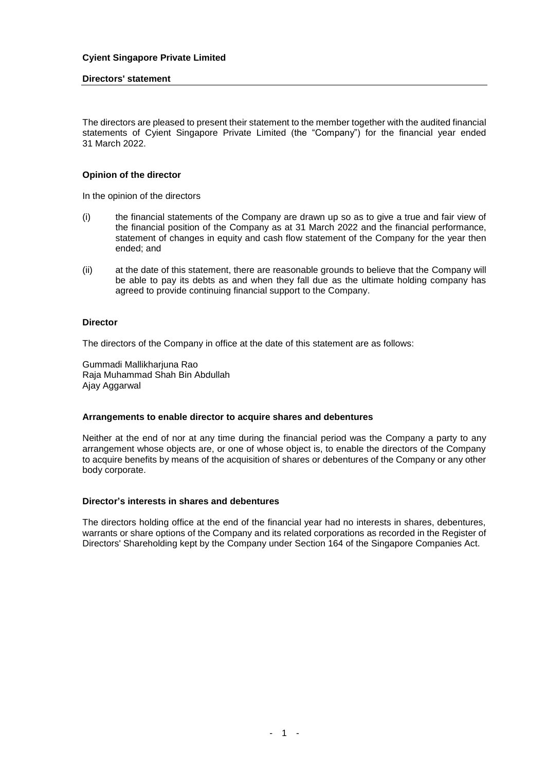#### **Directors' statement**

The directors are pleased to present their statement to the member together with the audited financial statements of Cyient Singapore Private Limited (the "Company") for the financial year ended 31 March 2022.

#### **Opinion of the director**

In the opinion of the directors

- (i) the financial statements of the Company are drawn up so as to give a true and fair view of the financial position of the Company as at 31 March 2022 and the financial performance, statement of changes in equity and cash flow statement of the Company for the year then ended; and
- (ii) at the date of this statement, there are reasonable grounds to believe that the Company will be able to pay its debts as and when they fall due as the ultimate holding company has agreed to provide continuing financial support to the Company.

#### **Director**

The directors of the Company in office at the date of this statement are as follows:

Gummadi Mallikharjuna Rao Raja Muhammad Shah Bin Abdullah Ajay Aggarwal

#### **Arrangements to enable director to acquire shares and debentures**

Neither at the end of nor at any time during the financial period was the Company a party to any arrangement whose objects are, or one of whose object is, to enable the directors of the Company to acquire benefits by means of the acquisition of shares or debentures of the Company or any other body corporate.

#### **Director's interests in shares and debentures**

The directors holding office at the end of the financial year had no interests in shares, debentures, warrants or share options of the Company and its related corporations as recorded in the Register of Directors' Shareholding kept by the Company under Section 164 of the Singapore Companies Act.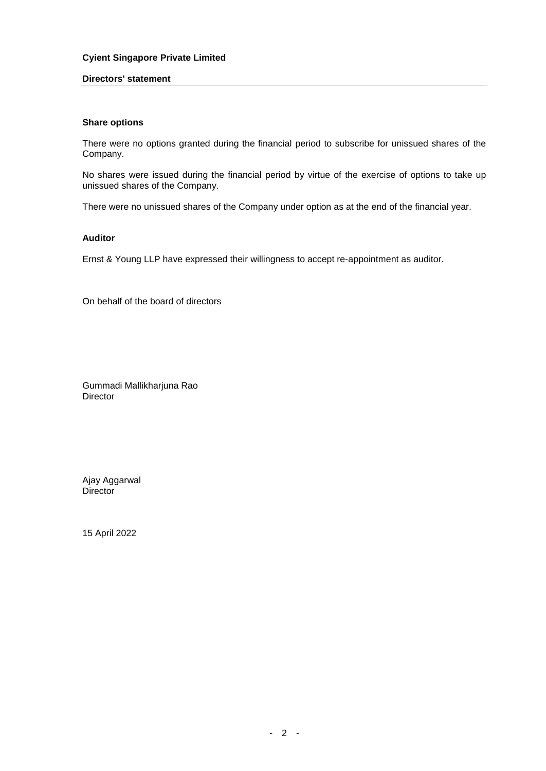#### **Directors' statement**

## **Share options**

There were no options granted during the financial period to subscribe for unissued shares of the Company.

No shares were issued during the financial period by virtue of the exercise of options to take up unissued shares of the Company.

There were no unissued shares of the Company under option as at the end of the financial year.

## **Auditor**

Ernst & Young LLP have expressed their willingness to accept re-appointment as auditor.

On behalf of the board of directors

Gummadi Mallikharjuna Rao Director

Ajay Aggarwal **Director** 

15 April 2022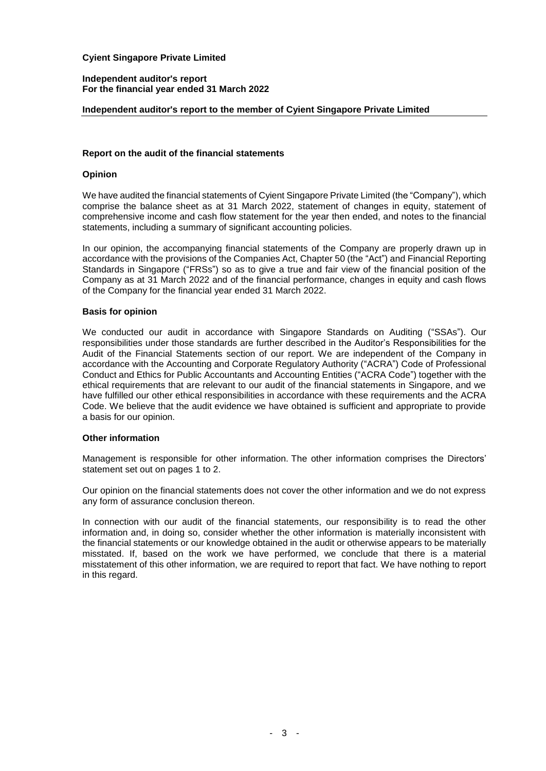### **Independent auditor's report For the financial year ended 31 March 2022**

## **Independent auditor's report to the member of Cyient Singapore Private Limited**

#### **Report on the audit of the financial statements**

#### **Opinion**

We have audited the financial statements of Cyient Singapore Private Limited (the "Company"), which comprise the balance sheet as at 31 March 2022, statement of changes in equity, statement of comprehensive income and cash flow statement for the year then ended, and notes to the financial statements, including a summary of significant accounting policies.

In our opinion, the accompanying financial statements of the Company are properly drawn up in accordance with the provisions of the Companies Act, Chapter 50 (the "Act") and Financial Reporting Standards in Singapore ("FRSs") so as to give a true and fair view of the financial position of the Company as at 31 March 2022 and of the financial performance, changes in equity and cash flows of the Company for the financial year ended 31 March 2022.

#### **Basis for opinion**

We conducted our audit in accordance with Singapore Standards on Auditing ("SSAs"). Our responsibilities under those standards are further described in the Auditor's Responsibilities for the Audit of the Financial Statements section of our report. We are independent of the Company in accordance with the Accounting and Corporate Regulatory Authority ("ACRA") Code of Professional Conduct and Ethics for Public Accountants and Accounting Entities ("ACRA Code") together with the ethical requirements that are relevant to our audit of the financial statements in Singapore, and we have fulfilled our other ethical responsibilities in accordance with these requirements and the ACRA Code. We believe that the audit evidence we have obtained is sufficient and appropriate to provide a basis for our opinion.

## **Other information**

Management is responsible for other information. The other information comprises the Directors' statement set out on pages 1 to 2.

Our opinion on the financial statements does not cover the other information and we do not express any form of assurance conclusion thereon.

In connection with our audit of the financial statements, our responsibility is to read the other information and, in doing so, consider whether the other information is materially inconsistent with the financial statements or our knowledge obtained in the audit or otherwise appears to be materially misstated. If, based on the work we have performed, we conclude that there is a material misstatement of this other information, we are required to report that fact. We have nothing to report in this regard.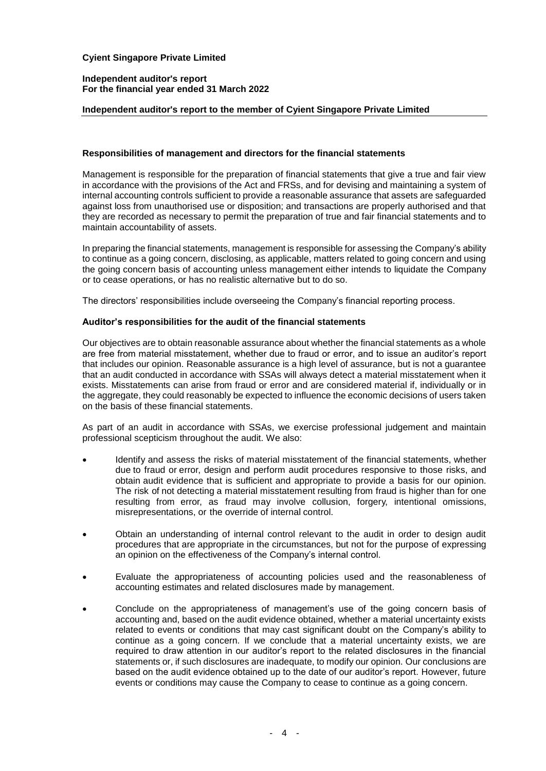## **Independent auditor's report For the financial year ended 31 March 2022**

#### **Independent auditor's report to the member of Cyient Singapore Private Limited**

#### **Responsibilities of management and directors for the financial statements**

Management is responsible for the preparation of financial statements that give a true and fair view in accordance with the provisions of the Act and FRSs, and for devising and maintaining a system of internal accounting controls sufficient to provide a reasonable assurance that assets are safeguarded against loss from unauthorised use or disposition; and transactions are properly authorised and that they are recorded as necessary to permit the preparation of true and fair financial statements and to maintain accountability of assets.

In preparing the financial statements, management is responsible for assessing the Company's ability to continue as a going concern, disclosing, as applicable, matters related to going concern and using the going concern basis of accounting unless management either intends to liquidate the Company or to cease operations, or has no realistic alternative but to do so.

The directors' responsibilities include overseeing the Company's financial reporting process.

#### **Auditor's responsibilities for the audit of the financial statements**

Our objectives are to obtain reasonable assurance about whether the financial statements as a whole are free from material misstatement, whether due to fraud or error, and to issue an auditor's report that includes our opinion. Reasonable assurance is a high level of assurance, but is not a guarantee that an audit conducted in accordance with SSAs will always detect a material misstatement when it exists. Misstatements can arise from fraud or error and are considered material if, individually or in the aggregate, they could reasonably be expected to influence the economic decisions of users taken on the basis of these financial statements.

As part of an audit in accordance with SSAs, we exercise professional judgement and maintain professional scepticism throughout the audit. We also:

- Identify and assess the risks of material misstatement of the financial statements, whether due to fraud or error, design and perform audit procedures responsive to those risks, and obtain audit evidence that is sufficient and appropriate to provide a basis for our opinion. The risk of not detecting a material misstatement resulting from fraud is higher than for one resulting from error, as fraud may involve collusion, forgery, intentional omissions, misrepresentations, or the override of internal control.
- Obtain an understanding of internal control relevant to the audit in order to design audit procedures that are appropriate in the circumstances, but not for the purpose of expressing an opinion on the effectiveness of the Company's internal control.
- Evaluate the appropriateness of accounting policies used and the reasonableness of accounting estimates and related disclosures made by management.
- Conclude on the appropriateness of management's use of the going concern basis of accounting and, based on the audit evidence obtained, whether a material uncertainty exists related to events or conditions that may cast significant doubt on the Company's ability to continue as a going concern. If we conclude that a material uncertainty exists, we are required to draw attention in our auditor's report to the related disclosures in the financial statements or, if such disclosures are inadequate, to modify our opinion. Our conclusions are based on the audit evidence obtained up to the date of our auditor's report. However, future events or conditions may cause the Company to cease to continue as a going concern.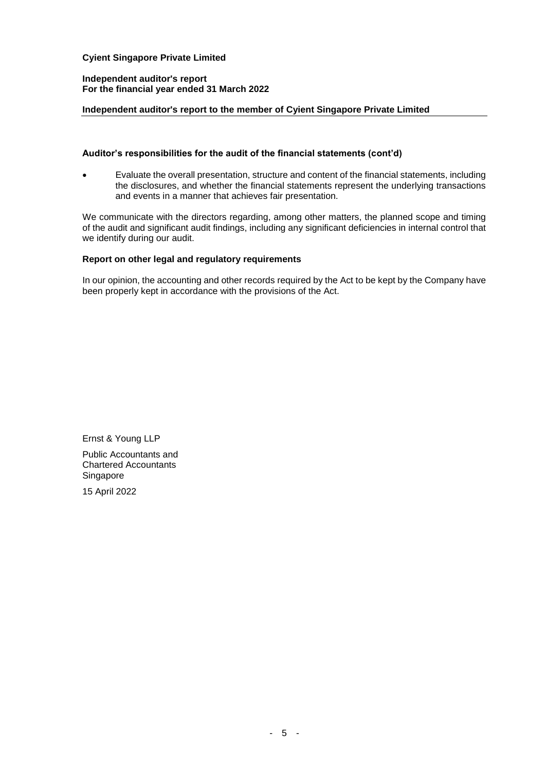## **Independent auditor's report For the financial year ended 31 March 2022**

## **Independent auditor's report to the member of Cyient Singapore Private Limited**

#### **Auditor's responsibilities for the audit of the financial statements (cont'd)**

• Evaluate the overall presentation, structure and content of the financial statements, including the disclosures, and whether the financial statements represent the underlying transactions and events in a manner that achieves fair presentation.

We communicate with the directors regarding, among other matters, the planned scope and timing of the audit and significant audit findings, including any significant deficiencies in internal control that we identify during our audit.

#### **Report on other legal and regulatory requirements**

In our opinion, the accounting and other records required by the Act to be kept by the Company have been properly kept in accordance with the provisions of the Act.

Ernst & Young LLP

Public Accountants and Chartered Accountants Singapore

15 April 2022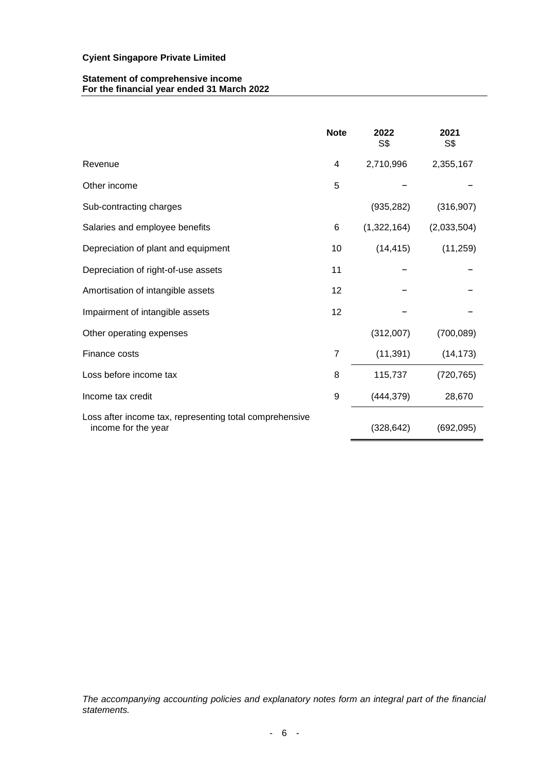## **Statement of comprehensive income For the financial year ended 31 March 2022**

|                                                                                | <b>Note</b>    | 2022<br>S\$ | 2021<br>S\$ |
|--------------------------------------------------------------------------------|----------------|-------------|-------------|
| Revenue                                                                        | 4              | 2,710,996   | 2,355,167   |
| Other income                                                                   | 5              |             |             |
| Sub-contracting charges                                                        |                | (935, 282)  | (316, 907)  |
| Salaries and employee benefits                                                 | 6              | (1,322,164) | (2,033,504) |
| Depreciation of plant and equipment                                            | 10             | (14, 415)   | (11, 259)   |
| Depreciation of right-of-use assets                                            | 11             |             |             |
| Amortisation of intangible assets                                              | 12             |             |             |
| Impairment of intangible assets                                                | 12             |             |             |
| Other operating expenses                                                       |                | (312,007)   | (700, 089)  |
| Finance costs                                                                  | $\overline{7}$ | (11, 391)   | (14, 173)   |
| Loss before income tax                                                         | 8              | 115,737     | (720, 765)  |
| Income tax credit                                                              | 9              | (444, 379)  | 28,670      |
| Loss after income tax, representing total comprehensive<br>income for the year |                | (328, 642)  | (692,095)   |

*The accompanying accounting policies and explanatory notes form an integral part of the financial statements.*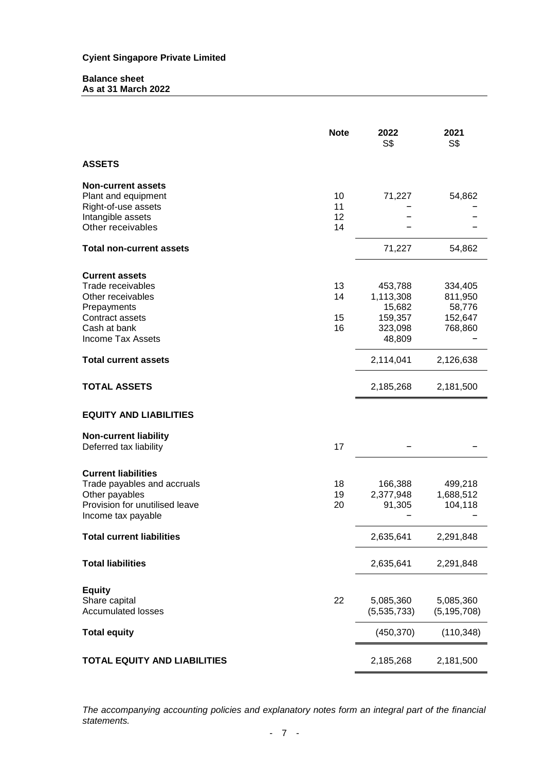## **Balance sheet As at 31 March 2022**

|                                                                                                                                               | <b>Note</b>          | 2022<br>S\$                                                    | 2021<br>S\$                                        |
|-----------------------------------------------------------------------------------------------------------------------------------------------|----------------------|----------------------------------------------------------------|----------------------------------------------------|
| <b>ASSETS</b>                                                                                                                                 |                      |                                                                |                                                    |
| <b>Non-current assets</b><br>Plant and equipment<br>Right-of-use assets<br>Intangible assets                                                  | 10<br>11<br>12       | 71,227                                                         | 54,862                                             |
| Other receivables                                                                                                                             | 14                   |                                                                |                                                    |
| <b>Total non-current assets</b>                                                                                                               |                      | 71,227                                                         | 54,862                                             |
| <b>Current assets</b><br>Trade receivables<br>Other receivables<br>Prepayments<br>Contract assets<br>Cash at bank<br><b>Income Tax Assets</b> | 13<br>14<br>15<br>16 | 453,788<br>1,113,308<br>15,682<br>159,357<br>323,098<br>48,809 | 334,405<br>811,950<br>58,776<br>152,647<br>768,860 |
| <b>Total current assets</b>                                                                                                                   |                      | 2,114,041                                                      | 2,126,638                                          |
| <b>TOTAL ASSETS</b>                                                                                                                           |                      | 2,185,268                                                      | 2,181,500                                          |
| <b>EQUITY AND LIABILITIES</b>                                                                                                                 |                      |                                                                |                                                    |
| <b>Non-current liability</b><br>Deferred tax liability                                                                                        | 17                   |                                                                |                                                    |
| <b>Current liabilities</b><br>Trade payables and accruals<br>Other payables<br>Provision for unutilised leave<br>Income tax payable           | 18<br>19<br>20       | 166,388<br>2,377,948<br>91,305                                 | 499,218<br>1,688,512<br>104,118                    |
| <b>Total current liabilities</b>                                                                                                              |                      | 2,635,641                                                      | 2,291,848                                          |
| <b>Total liabilities</b>                                                                                                                      |                      | 2,635,641                                                      | 2,291,848                                          |
| <b>Equity</b><br>Share capital<br><b>Accumulated losses</b>                                                                                   | 22                   | 5,085,360<br>(5,535,733)                                       | 5,085,360<br>(5, 195, 708)                         |
| <b>Total equity</b>                                                                                                                           |                      | (450, 370)                                                     | (110, 348)                                         |
| <b>TOTAL EQUITY AND LIABILITIES</b>                                                                                                           |                      | 2,185,268                                                      | 2,181,500                                          |

*The accompanying accounting policies and explanatory notes form an integral part of the financial statements.*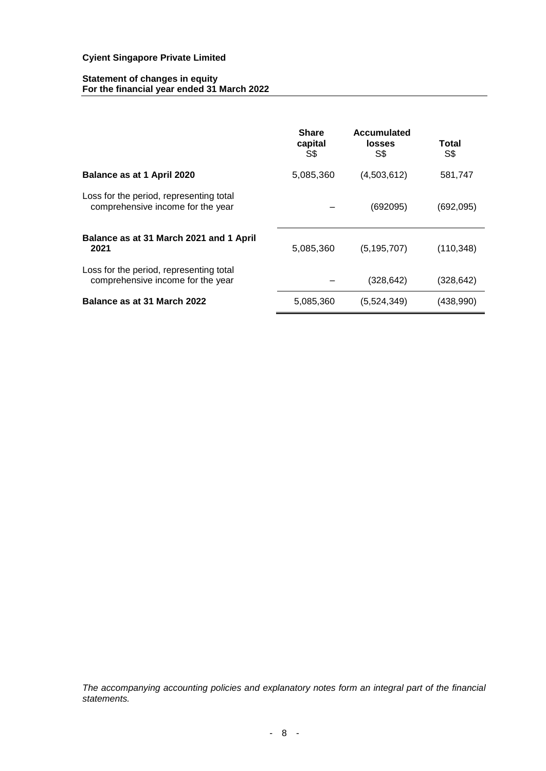## **Statement of changes in equity For the financial year ended 31 March 2022**

|                                                                              | <b>Share</b><br>capital<br>S\$ | <b>Accumulated</b><br><b>losses</b><br>S\$ | Total<br>S\$ |
|------------------------------------------------------------------------------|--------------------------------|--------------------------------------------|--------------|
| Balance as at 1 April 2020                                                   | 5,085,360                      | (4,503,612)                                | 581,747      |
| Loss for the period, representing total<br>comprehensive income for the year |                                | (692095)                                   | (692,095)    |
| Balance as at 31 March 2021 and 1 April<br>2021                              | 5,085,360                      | (5, 195, 707)                              | (110, 348)   |
| Loss for the period, representing total<br>comprehensive income for the year |                                | (328, 642)                                 | (328,642)    |
| Balance as at 31 March 2022                                                  | 5,085,360                      | (5,524,349)                                | (438,990)    |

*The accompanying accounting policies and explanatory notes form an integral part of the financial statements.*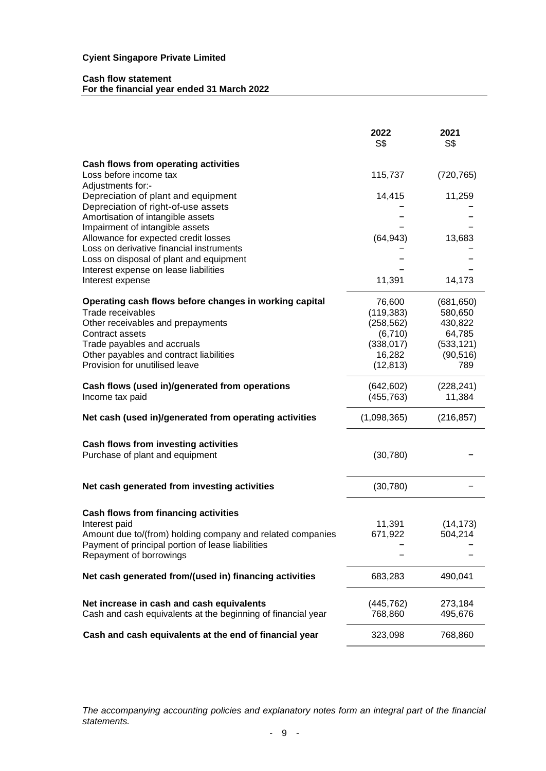## **Cash flow statement For the financial year ended 31 March 2022**

|                                                                   | 2022<br>S\$              | 2021<br>S\$          |
|-------------------------------------------------------------------|--------------------------|----------------------|
| Cash flows from operating activities                              |                          |                      |
| Loss before income tax                                            | 115,737                  | (720, 765)           |
| Adjustments for:-                                                 |                          |                      |
| Depreciation of plant and equipment                               | 14,415                   | 11,259               |
| Depreciation of right-of-use assets                               |                          |                      |
| Amortisation of intangible assets                                 |                          |                      |
| Impairment of intangible assets                                   |                          |                      |
| Allowance for expected credit losses                              | (64, 943)                | 13,683               |
| Loss on derivative financial instruments                          |                          |                      |
| Loss on disposal of plant and equipment                           |                          |                      |
| Interest expense on lease liabilities                             |                          |                      |
| Interest expense                                                  | 11,391                   | 14,173               |
| Operating cash flows before changes in working capital            | 76,600                   | (681, 650)           |
| Trade receivables                                                 | (119, 383)               | 580,650              |
| Other receivables and prepayments                                 | (258, 562)               | 430,822              |
| Contract assets                                                   | (6,710)                  | 64,785               |
| Trade payables and accruals                                       | (338, 017)               | (533, 121)           |
| Other payables and contract liabilities                           | 16,282                   | (90, 516)            |
| Provision for unutilised leave                                    | (12, 813)                | 789                  |
| Cash flows (used in)/generated from operations<br>Income tax paid | (642, 602)<br>(455, 763) | (228, 241)<br>11,384 |
| Net cash (used in)/generated from operating activities            | (1,098,365)              | (216, 857)           |
| Cash flows from investing activities                              |                          |                      |
| Purchase of plant and equipment                                   | (30, 780)                |                      |
|                                                                   |                          |                      |
| Net cash generated from investing activities                      | (30, 780)                |                      |
| <b>Cash flows from financing activities</b>                       |                          |                      |
| Interest paid                                                     | 11,391                   | (14, 173)            |
| Amount due to/(from) holding company and related companies        | 671,922                  | 504,214              |
| Payment of principal portion of lease liabilities                 |                          |                      |
| Repayment of borrowings                                           |                          |                      |
| Net cash generated from/(used in) financing activities            | 683,283                  | 490,041              |
| Net increase in cash and cash equivalents                         | (445, 762)               |                      |
| Cash and cash equivalents at the beginning of financial year      | 768,860                  | 273,184<br>495,676   |
|                                                                   |                          |                      |
| Cash and cash equivalents at the end of financial year            | 323,098                  | 768,860              |

*The accompanying accounting policies and explanatory notes form an integral part of the financial statements.*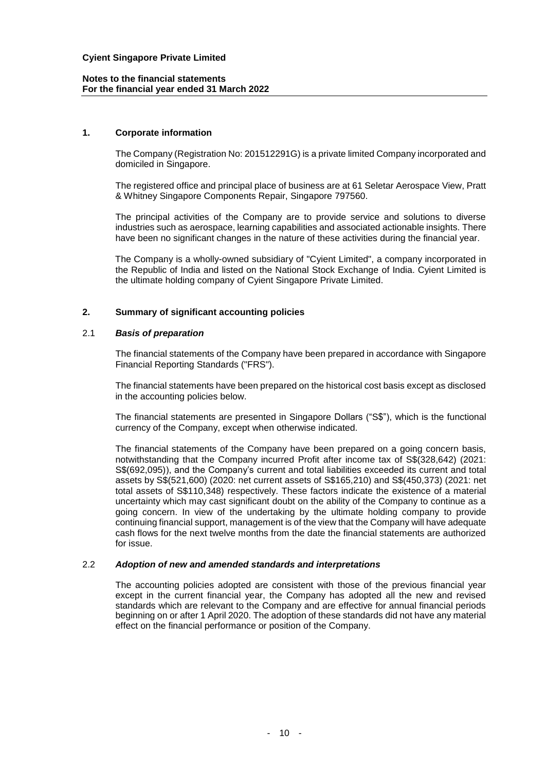### **Notes to the financial statements For the financial year ended 31 March 2022**

## **1. Corporate information**

The Company (Registration No: 201512291G) is a private limited Company incorporated and domiciled in Singapore.

The registered office and principal place of business are at 61 Seletar Aerospace View, Pratt & Whitney Singapore Components Repair, Singapore 797560.

The principal activities of the Company are to provide service and solutions to diverse industries such as aerospace, learning capabilities and associated actionable insights. There have been no significant changes in the nature of these activities during the financial year.

The Company is a wholly-owned subsidiary of "Cyient Limited", a company incorporated in the Republic of India and listed on the National Stock Exchange of India. Cyient Limited is the ultimate holding company of Cyient Singapore Private Limited.

## **2. Summary of significant accounting policies**

#### 2.1 *Basis of preparation*

The financial statements of the Company have been prepared in accordance with Singapore Financial Reporting Standards ("FRS").

The financial statements have been prepared on the historical cost basis except as disclosed in the accounting policies below.

The financial statements are presented in Singapore Dollars ("S\$"), which is the functional currency of the Company, except when otherwise indicated.

The financial statements of the Company have been prepared on a going concern basis, notwithstanding that the Company incurred Profit after income tax of S\$(328,642) (2021: S\$(692,095)), and the Company's current and total liabilities exceeded its current and total assets by S\$(521,600) (2020: net current assets of S\$165,210) and S\$(450,373) (2021: net total assets of S\$110,348) respectively. These factors indicate the existence of a material uncertainty which may cast significant doubt on the ability of the Company to continue as a going concern. In view of the undertaking by the ultimate holding company to provide continuing financial support, management is of the view that the Company will have adequate cash flows for the next twelve months from the date the financial statements are authorized for issue.

#### 2.2 *Adoption of new and amended standards and interpretations*

The accounting policies adopted are consistent with those of the previous financial year except in the current financial year, the Company has adopted all the new and revised standards which are relevant to the Company and are effective for annual financial periods beginning on or after 1 April 2020. The adoption of these standards did not have any material effect on the financial performance or position of the Company.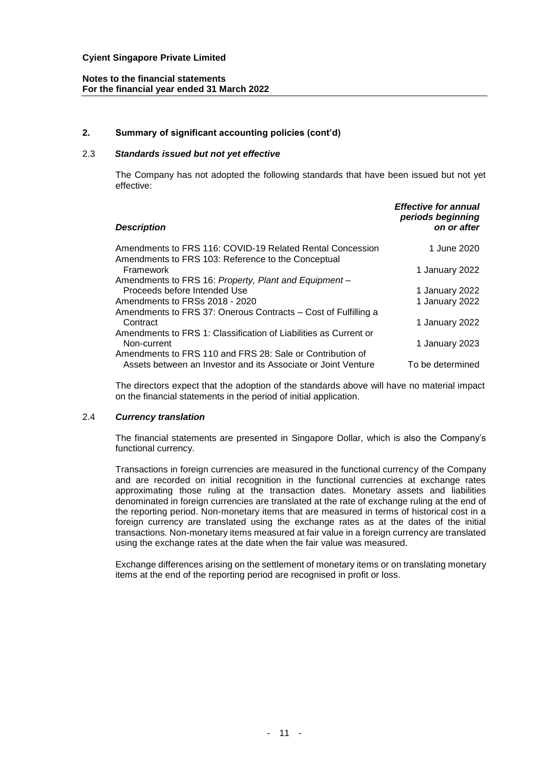## **Notes to the financial statements For the financial year ended 31 March 2022**

## **2. Summary of significant accounting policies (cont'd)**

## 2.3 *Standards issued but not yet effective*

The Company has not adopted the following standards that have been issued but not yet effective:

| <b>Description</b>                                                                                              | <b>Effective for annual</b><br>periods beginning<br>on or after |
|-----------------------------------------------------------------------------------------------------------------|-----------------------------------------------------------------|
| Amendments to FRS 116: COVID-19 Related Rental Concession<br>Amendments to FRS 103: Reference to the Conceptual | 1 June 2020                                                     |
| Framework                                                                                                       | 1 January 2022                                                  |
| Amendments to FRS 16: Property, Plant and Equipment -                                                           |                                                                 |
| Proceeds before Intended Use                                                                                    | 1 January 2022                                                  |
| Amendments to FRSs 2018 - 2020                                                                                  | 1 January 2022                                                  |
| Amendments to FRS 37: Onerous Contracts – Cost of Fulfilling a                                                  |                                                                 |
| Contract                                                                                                        | 1 January 2022                                                  |
| Amendments to FRS 1: Classification of Liabilities as Current or                                                |                                                                 |
| Non-current                                                                                                     | 1 January 2023                                                  |
| Amendments to FRS 110 and FRS 28: Sale or Contribution of                                                       |                                                                 |
| Assets between an Investor and its Associate or Joint Venture                                                   | To be determined                                                |

The directors expect that the adoption of the standards above will have no material impact on the financial statements in the period of initial application.

### 2.4 *Currency translation*

The financial statements are presented in Singapore Dollar, which is also the Company's functional currency.

Transactions in foreign currencies are measured in the functional currency of the Company and are recorded on initial recognition in the functional currencies at exchange rates approximating those ruling at the transaction dates. Monetary assets and liabilities denominated in foreign currencies are translated at the rate of exchange ruling at the end of the reporting period. Non-monetary items that are measured in terms of historical cost in a foreign currency are translated using the exchange rates as at the dates of the initial transactions. Non-monetary items measured at fair value in a foreign currency are translated using the exchange rates at the date when the fair value was measured.

Exchange differences arising on the settlement of monetary items or on translating monetary items at the end of the reporting period are recognised in profit or loss.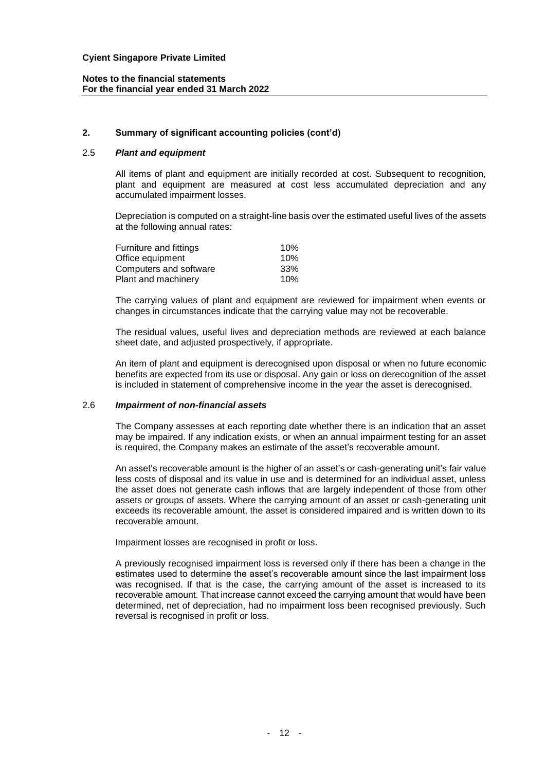## **Notes to the financial statements For the financial year ended 31 March 2022**

#### **2. Summary of significant accounting policies (cont'd)**

#### 2.5 *Plant and equipment*

All items of plant and equipment are initially recorded at cost. Subsequent to recognition, plant and equipment are measured at cost less accumulated depreciation and any accumulated impairment losses.

Depreciation is computed on a straight-line basis over the estimated useful lives of the assets at the following annual rates:

| Furniture and fittings | 10% |
|------------------------|-----|
| Office equipment       | 10% |
| Computers and software | 33% |
| Plant and machinery    | 10% |

The carrying values of plant and equipment are reviewed for impairment when events or changes in circumstances indicate that the carrying value may not be recoverable.

The residual values, useful lives and depreciation methods are reviewed at each balance sheet date, and adjusted prospectively, if appropriate.

An item of plant and equipment is derecognised upon disposal or when no future economic benefits are expected from its use or disposal. Any gain or loss on derecognition of the asset is included in statement of comprehensive income in the year the asset is derecognised.

## 2.6 *Impairment of non-financial assets*

The Company assesses at each reporting date whether there is an indication that an asset may be impaired. If any indication exists, or when an annual impairment testing for an asset is required, the Company makes an estimate of the asset's recoverable amount.

An asset's recoverable amount is the higher of an asset's or cash-generating unit's fair value less costs of disposal and its value in use and is determined for an individual asset, unless the asset does not generate cash inflows that are largely independent of those from other assets or groups of assets. Where the carrying amount of an asset or cash-generating unit exceeds its recoverable amount, the asset is considered impaired and is written down to its recoverable amount.

Impairment losses are recognised in profit or loss.

A previously recognised impairment loss is reversed only if there has been a change in the estimates used to determine the asset's recoverable amount since the last impairment loss was recognised. If that is the case, the carrying amount of the asset is increased to its recoverable amount. That increase cannot exceed the carrying amount that would have been determined, net of depreciation, had no impairment loss been recognised previously. Such reversal is recognised in profit or loss.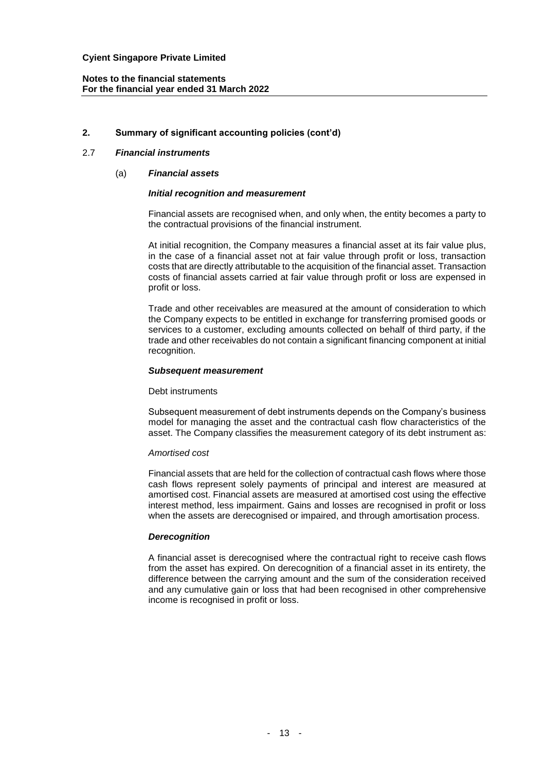## **Notes to the financial statements For the financial year ended 31 March 2022**

## **2. Summary of significant accounting policies (cont'd)**

#### 2.7 *Financial instruments*

#### (a) *Financial assets*

#### *Initial recognition and measurement*

Financial assets are recognised when, and only when, the entity becomes a party to the contractual provisions of the financial instrument.

At initial recognition, the Company measures a financial asset at its fair value plus, in the case of a financial asset not at fair value through profit or loss, transaction costs that are directly attributable to the acquisition of the financial asset. Transaction costs of financial assets carried at fair value through profit or loss are expensed in profit or loss.

Trade and other receivables are measured at the amount of consideration to which the Company expects to be entitled in exchange for transferring promised goods or services to a customer, excluding amounts collected on behalf of third party, if the trade and other receivables do not contain a significant financing component at initial recognition.

#### *Subsequent measurement*

#### Debt instruments

Subsequent measurement of debt instruments depends on the Company's business model for managing the asset and the contractual cash flow characteristics of the asset. The Company classifies the measurement category of its debt instrument as:

#### *Amortised cost*

Financial assets that are held for the collection of contractual cash flows where those cash flows represent solely payments of principal and interest are measured at amortised cost. Financial assets are measured at amortised cost using the effective interest method, less impairment. Gains and losses are recognised in profit or loss when the assets are derecognised or impaired, and through amortisation process.

#### *Derecognition*

A financial asset is derecognised where the contractual right to receive cash flows from the asset has expired. On derecognition of a financial asset in its entirety, the difference between the carrying amount and the sum of the consideration received and any cumulative gain or loss that had been recognised in other comprehensive income is recognised in profit or loss.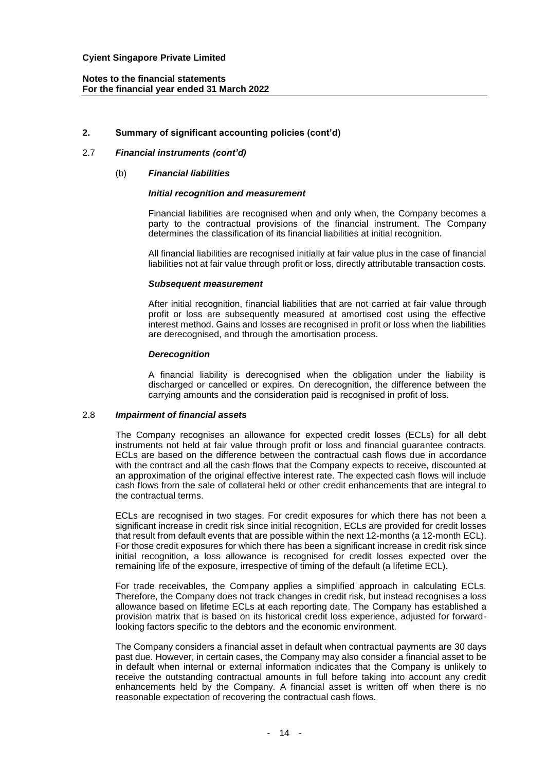## **Notes to the financial statements For the financial year ended 31 March 2022**

#### **2. Summary of significant accounting policies (cont'd)**

#### 2.7 *Financial instruments (cont'd)*

#### (b) *Financial liabilities*

#### *Initial recognition and measurement*

Financial liabilities are recognised when and only when, the Company becomes a party to the contractual provisions of the financial instrument. The Company determines the classification of its financial liabilities at initial recognition.

All financial liabilities are recognised initially at fair value plus in the case of financial liabilities not at fair value through profit or loss, directly attributable transaction costs.

#### *Subsequent measurement*

After initial recognition, financial liabilities that are not carried at fair value through profit or loss are subsequently measured at amortised cost using the effective interest method. Gains and losses are recognised in profit or loss when the liabilities are derecognised, and through the amortisation process.

#### *Derecognition*

A financial liability is derecognised when the obligation under the liability is discharged or cancelled or expires. On derecognition, the difference between the carrying amounts and the consideration paid is recognised in profit of loss.

## 2.8 *Impairment of financial assets*

The Company recognises an allowance for expected credit losses (ECLs) for all debt instruments not held at fair value through profit or loss and financial guarantee contracts. ECLs are based on the difference between the contractual cash flows due in accordance with the contract and all the cash flows that the Company expects to receive, discounted at an approximation of the original effective interest rate. The expected cash flows will include cash flows from the sale of collateral held or other credit enhancements that are integral to the contractual terms.

ECLs are recognised in two stages. For credit exposures for which there has not been a significant increase in credit risk since initial recognition, ECLs are provided for credit losses that result from default events that are possible within the next 12-months (a 12-month ECL). For those credit exposures for which there has been a significant increase in credit risk since initial recognition, a loss allowance is recognised for credit losses expected over the remaining life of the exposure, irrespective of timing of the default (a lifetime ECL).

For trade receivables, the Company applies a simplified approach in calculating ECLs. Therefore, the Company does not track changes in credit risk, but instead recognises a loss allowance based on lifetime ECLs at each reporting date. The Company has established a provision matrix that is based on its historical credit loss experience, adjusted for forwardlooking factors specific to the debtors and the economic environment.

The Company considers a financial asset in default when contractual payments are 30 days past due. However, in certain cases, the Company may also consider a financial asset to be in default when internal or external information indicates that the Company is unlikely to receive the outstanding contractual amounts in full before taking into account any credit enhancements held by the Company. A financial asset is written off when there is no reasonable expectation of recovering the contractual cash flows.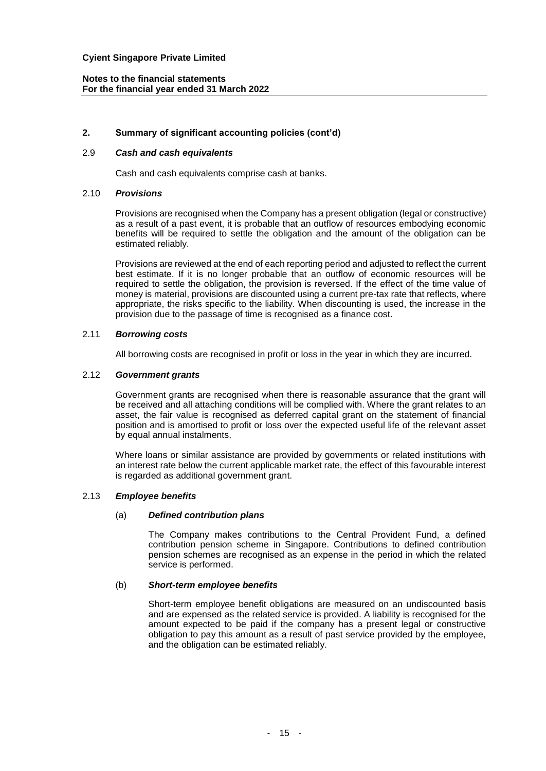## **Notes to the financial statements For the financial year ended 31 March 2022**

#### **2. Summary of significant accounting policies (cont'd)**

#### 2.9 *Cash and cash equivalents*

Cash and cash equivalents comprise cash at banks.

#### 2.10 *Provisions*

Provisions are recognised when the Company has a present obligation (legal or constructive) as a result of a past event, it is probable that an outflow of resources embodying economic benefits will be required to settle the obligation and the amount of the obligation can be estimated reliably.

Provisions are reviewed at the end of each reporting period and adjusted to reflect the current best estimate. If it is no longer probable that an outflow of economic resources will be required to settle the obligation, the provision is reversed. If the effect of the time value of money is material, provisions are discounted using a current pre-tax rate that reflects, where appropriate, the risks specific to the liability. When discounting is used, the increase in the provision due to the passage of time is recognised as a finance cost.

#### 2.11 *Borrowing costs*

All borrowing costs are recognised in profit or loss in the year in which they are incurred.

#### 2.12 *Government grants*

Government grants are recognised when there is reasonable assurance that the grant will be received and all attaching conditions will be complied with. Where the grant relates to an asset, the fair value is recognised as deferred capital grant on the statement of financial position and is amortised to profit or loss over the expected useful life of the relevant asset by equal annual instalments.

Where loans or similar assistance are provided by governments or related institutions with an interest rate below the current applicable market rate, the effect of this favourable interest is regarded as additional government grant.

#### 2.13 *Employee benefits*

#### (a) *Defined contribution plans*

The Company makes contributions to the Central Provident Fund, a defined contribution pension scheme in Singapore. Contributions to defined contribution pension schemes are recognised as an expense in the period in which the related service is performed.

#### (b) *Short-term employee benefits*

Short-term employee benefit obligations are measured on an undiscounted basis and are expensed as the related service is provided. A liability is recognised for the amount expected to be paid if the company has a present legal or constructive obligation to pay this amount as a result of past service provided by the employee, and the obligation can be estimated reliably.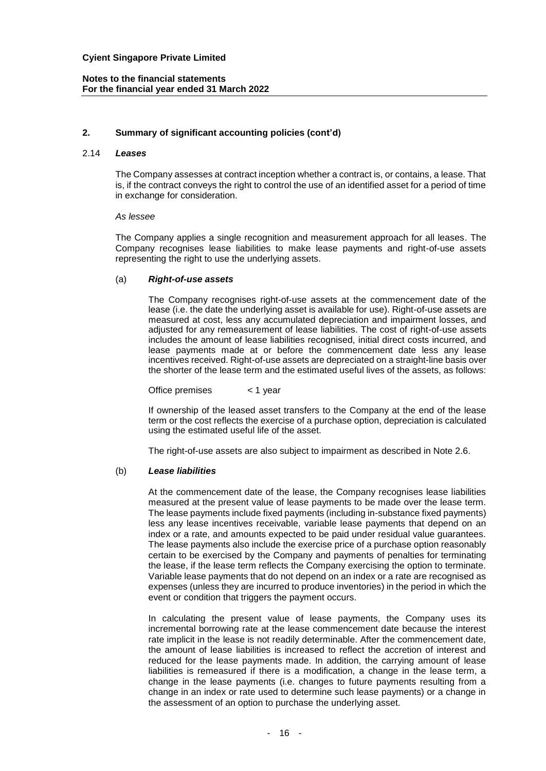## **Notes to the financial statements For the financial year ended 31 March 2022**

#### **2. Summary of significant accounting policies (cont'd)**

#### 2.14 *Leases*

The Company assesses at contract inception whether a contract is, or contains, a lease. That is, if the contract conveys the right to control the use of an identified asset for a period of time in exchange for consideration.

#### *As lessee*

The Company applies a single recognition and measurement approach for all leases. The Company recognises lease liabilities to make lease payments and right-of-use assets representing the right to use the underlying assets.

#### (a) *Right-of-use assets*

The Company recognises right-of-use assets at the commencement date of the lease (i.e. the date the underlying asset is available for use). Right-of-use assets are measured at cost, less any accumulated depreciation and impairment losses, and adjusted for any remeasurement of lease liabilities. The cost of right-of-use assets includes the amount of lease liabilities recognised, initial direct costs incurred, and lease payments made at or before the commencement date less any lease incentives received. Right-of-use assets are depreciated on a straight-line basis over the shorter of the lease term and the estimated useful lives of the assets, as follows:

Office premises < 1 year

If ownership of the leased asset transfers to the Company at the end of the lease term or the cost reflects the exercise of a purchase option, depreciation is calculated using the estimated useful life of the asset.

The right-of-use assets are also subject to impairment as described in Note 2.6.

#### (b) *Lease liabilities*

At the commencement date of the lease, the Company recognises lease liabilities measured at the present value of lease payments to be made over the lease term. The lease payments include fixed payments (including in-substance fixed payments) less any lease incentives receivable, variable lease payments that depend on an index or a rate, and amounts expected to be paid under residual value guarantees. The lease payments also include the exercise price of a purchase option reasonably certain to be exercised by the Company and payments of penalties for terminating the lease, if the lease term reflects the Company exercising the option to terminate. Variable lease payments that do not depend on an index or a rate are recognised as expenses (unless they are incurred to produce inventories) in the period in which the event or condition that triggers the payment occurs.

In calculating the present value of lease payments, the Company uses its incremental borrowing rate at the lease commencement date because the interest rate implicit in the lease is not readily determinable. After the commencement date, the amount of lease liabilities is increased to reflect the accretion of interest and reduced for the lease payments made. In addition, the carrying amount of lease liabilities is remeasured if there is a modification, a change in the lease term, a change in the lease payments (i.e. changes to future payments resulting from a change in an index or rate used to determine such lease payments) or a change in the assessment of an option to purchase the underlying asset.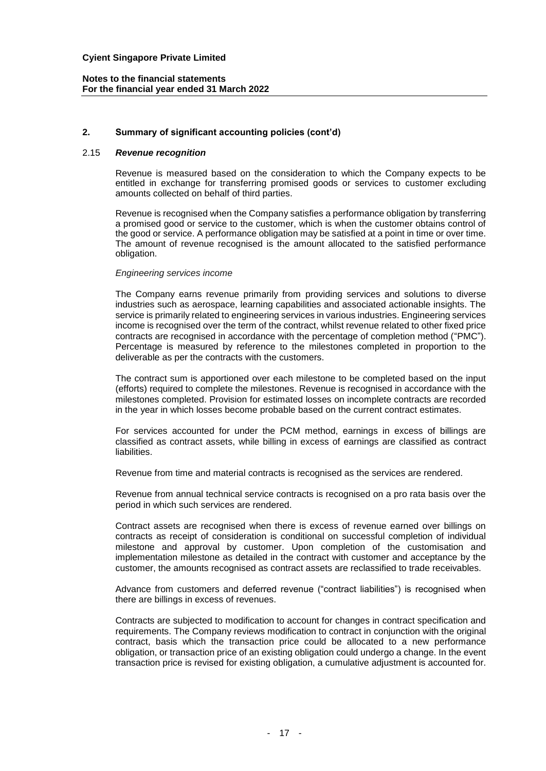## **Notes to the financial statements For the financial year ended 31 March 2022**

## **2. Summary of significant accounting policies (cont'd)**

#### 2.15 *Revenue recognition*

Revenue is measured based on the consideration to which the Company expects to be entitled in exchange for transferring promised goods or services to customer excluding amounts collected on behalf of third parties.

Revenue is recognised when the Company satisfies a performance obligation by transferring a promised good or service to the customer, which is when the customer obtains control of the good or service. A performance obligation may be satisfied at a point in time or over time. The amount of revenue recognised is the amount allocated to the satisfied performance obligation.

#### *Engineering services income*

The Company earns revenue primarily from providing services and solutions to diverse industries such as aerospace, learning capabilities and associated actionable insights. The service is primarily related to engineering services in various industries. Engineering services income is recognised over the term of the contract, whilst revenue related to other fixed price contracts are recognised in accordance with the percentage of completion method ("PMC"). Percentage is measured by reference to the milestones completed in proportion to the deliverable as per the contracts with the customers.

The contract sum is apportioned over each milestone to be completed based on the input (efforts) required to complete the milestones. Revenue is recognised in accordance with the milestones completed. Provision for estimated losses on incomplete contracts are recorded in the year in which losses become probable based on the current contract estimates.

For services accounted for under the PCM method, earnings in excess of billings are classified as contract assets, while billing in excess of earnings are classified as contract liabilities.

Revenue from time and material contracts is recognised as the services are rendered.

Revenue from annual technical service contracts is recognised on a pro rata basis over the period in which such services are rendered.

Contract assets are recognised when there is excess of revenue earned over billings on contracts as receipt of consideration is conditional on successful completion of individual milestone and approval by customer. Upon completion of the customisation and implementation milestone as detailed in the contract with customer and acceptance by the customer, the amounts recognised as contract assets are reclassified to trade receivables.

Advance from customers and deferred revenue ("contract liabilities") is recognised when there are billings in excess of revenues.

Contracts are subjected to modification to account for changes in contract specification and requirements. The Company reviews modification to contract in conjunction with the original contract, basis which the transaction price could be allocated to a new performance obligation, or transaction price of an existing obligation could undergo a change. In the event transaction price is revised for existing obligation, a cumulative adjustment is accounted for.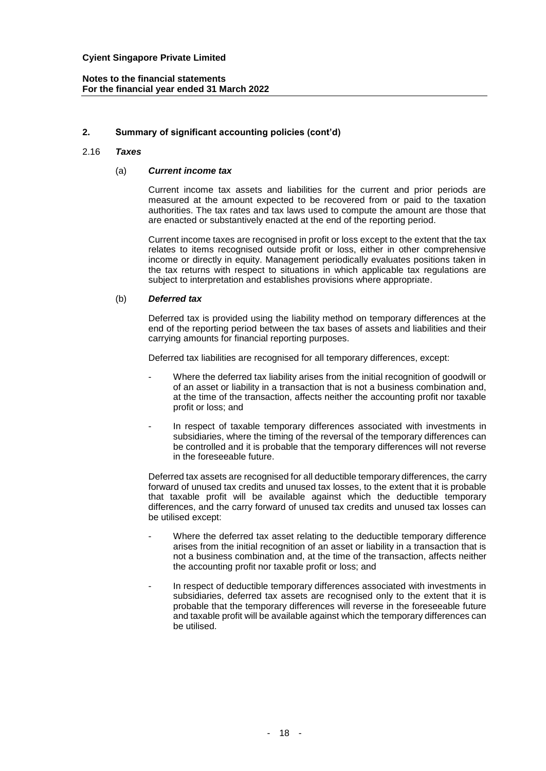## **Notes to the financial statements For the financial year ended 31 March 2022**

## **2. Summary of significant accounting policies (cont'd)**

#### 2.16 *Taxes*

#### (a) *Current income tax*

Current income tax assets and liabilities for the current and prior periods are measured at the amount expected to be recovered from or paid to the taxation authorities. The tax rates and tax laws used to compute the amount are those that are enacted or substantively enacted at the end of the reporting period.

Current income taxes are recognised in profit or loss except to the extent that the tax relates to items recognised outside profit or loss, either in other comprehensive income or directly in equity. Management periodically evaluates positions taken in the tax returns with respect to situations in which applicable tax regulations are subject to interpretation and establishes provisions where appropriate.

#### (b) *Deferred tax*

Deferred tax is provided using the liability method on temporary differences at the end of the reporting period between the tax bases of assets and liabilities and their carrying amounts for financial reporting purposes.

Deferred tax liabilities are recognised for all temporary differences, except:

- Where the deferred tax liability arises from the initial recognition of goodwill or of an asset or liability in a transaction that is not a business combination and, at the time of the transaction, affects neither the accounting profit nor taxable profit or loss; and
- In respect of taxable temporary differences associated with investments in subsidiaries, where the timing of the reversal of the temporary differences can be controlled and it is probable that the temporary differences will not reverse in the foreseeable future.

Deferred tax assets are recognised for all deductible temporary differences, the carry forward of unused tax credits and unused tax losses, to the extent that it is probable that taxable profit will be available against which the deductible temporary differences, and the carry forward of unused tax credits and unused tax losses can be utilised except:

- Where the deferred tax asset relating to the deductible temporary difference arises from the initial recognition of an asset or liability in a transaction that is not a business combination and, at the time of the transaction, affects neither the accounting profit nor taxable profit or loss; and
- In respect of deductible temporary differences associated with investments in subsidiaries, deferred tax assets are recognised only to the extent that it is probable that the temporary differences will reverse in the foreseeable future and taxable profit will be available against which the temporary differences can be utilised.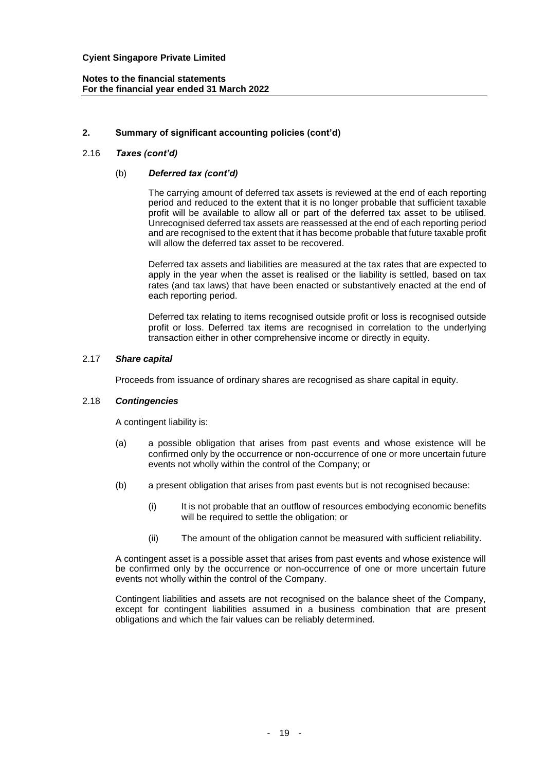## **Notes to the financial statements For the financial year ended 31 March 2022**

#### **2. Summary of significant accounting policies (cont'd)**

#### 2.16 *Taxes (cont'd)*

## (b) *Deferred tax (cont'd)*

The carrying amount of deferred tax assets is reviewed at the end of each reporting period and reduced to the extent that it is no longer probable that sufficient taxable profit will be available to allow all or part of the deferred tax asset to be utilised. Unrecognised deferred tax assets are reassessed at the end of each reporting period and are recognised to the extent that it has become probable that future taxable profit will allow the deferred tax asset to be recovered.

Deferred tax assets and liabilities are measured at the tax rates that are expected to apply in the year when the asset is realised or the liability is settled, based on tax rates (and tax laws) that have been enacted or substantively enacted at the end of each reporting period.

Deferred tax relating to items recognised outside profit or loss is recognised outside profit or loss. Deferred tax items are recognised in correlation to the underlying transaction either in other comprehensive income or directly in equity.

#### 2.17 *Share capital*

Proceeds from issuance of ordinary shares are recognised as share capital in equity.

#### 2.18 *Contingencies*

A contingent liability is:

- (a) a possible obligation that arises from past events and whose existence will be confirmed only by the occurrence or non-occurrence of one or more uncertain future events not wholly within the control of the Company; or
- (b) a present obligation that arises from past events but is not recognised because:
	- (i) It is not probable that an outflow of resources embodying economic benefits will be required to settle the obligation; or
	- (ii) The amount of the obligation cannot be measured with sufficient reliability.

A contingent asset is a possible asset that arises from past events and whose existence will be confirmed only by the occurrence or non-occurrence of one or more uncertain future events not wholly within the control of the Company.

Contingent liabilities and assets are not recognised on the balance sheet of the Company, except for contingent liabilities assumed in a business combination that are present obligations and which the fair values can be reliably determined.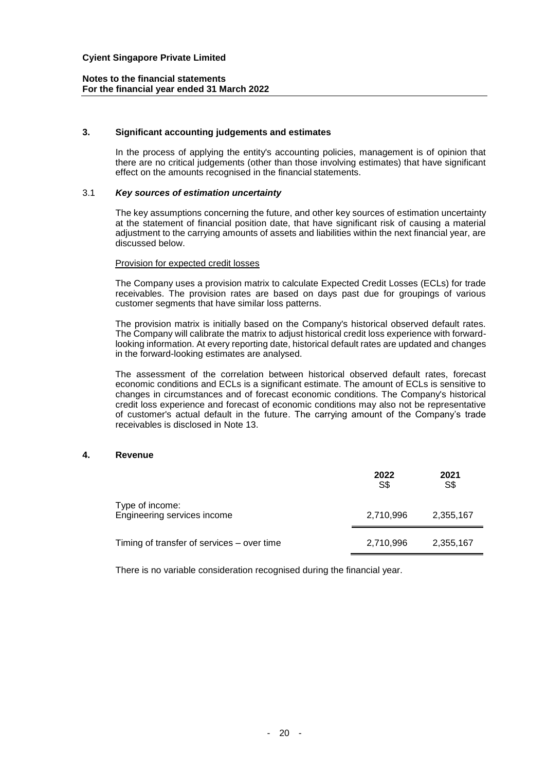#### **Notes to the financial statements For the financial year ended 31 March 2022**

#### **3. Significant accounting judgements and estimates**

In the process of applying the entity's accounting policies, management is of opinion that there are no critical judgements (other than those involving estimates) that have significant effect on the amounts recognised in the financial statements.

#### 3.1 *Key sources of estimation uncertainty*

The key assumptions concerning the future, and other key sources of estimation uncertainty at the statement of financial position date, that have significant risk of causing a material adjustment to the carrying amounts of assets and liabilities within the next financial year, are discussed below.

#### Provision for expected credit losses

The Company uses a provision matrix to calculate Expected Credit Losses (ECLs) for trade receivables. The provision rates are based on days past due for groupings of various customer segments that have similar loss patterns.

The provision matrix is initially based on the Company's historical observed default rates. The Company will calibrate the matrix to adjust historical credit loss experience with forwardlooking information. At every reporting date, historical default rates are updated and changes in the forward-looking estimates are analysed.

The assessment of the correlation between historical observed default rates, forecast economic conditions and ECLs is a significant estimate. The amount of ECLs is sensitive to changes in circumstances and of forecast economic conditions. The Company's historical credit loss experience and forecast of economic conditions may also not be representative of customer's actual default in the future. The carrying amount of the Company's trade receivables is disclosed in Note 13.

#### **4. Revenue**

|                                                | 2022<br>S\$ | 2021<br>S\$ |
|------------------------------------------------|-------------|-------------|
| Type of income:<br>Engineering services income | 2,710,996   | 2,355,167   |
| Timing of transfer of services – over time     | 2,710,996   | 2,355,167   |

There is no variable consideration recognised during the financial year.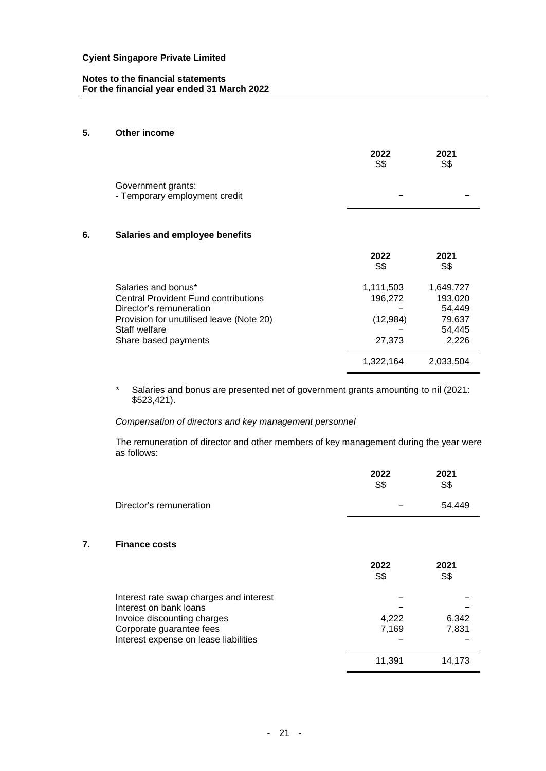## **Notes to the financial statements For the financial year ended 31 March 2022**

## **5. Other income**

**7. Finance costs**

|    |                                                                                                                                                                                    | 2022<br>S\$                                 | 2021<br>S\$                                                 |
|----|------------------------------------------------------------------------------------------------------------------------------------------------------------------------------------|---------------------------------------------|-------------------------------------------------------------|
|    | Government grants:<br>- Temporary employment credit                                                                                                                                |                                             |                                                             |
| 6. | Salaries and employee benefits                                                                                                                                                     |                                             |                                                             |
|    |                                                                                                                                                                                    | 2022<br>S\$                                 | 2021<br>S\$                                                 |
|    | Salaries and bonus*<br><b>Central Provident Fund contributions</b><br>Director's remuneration<br>Provision for unutilised leave (Note 20)<br>Staff welfare<br>Share based payments | 1,111,503<br>196,272<br>(12, 984)<br>27,373 | 1,649,727<br>193,020<br>54,449<br>79,637<br>54,445<br>2,226 |
|    |                                                                                                                                                                                    | 1,322,164                                   | 2,033,504                                                   |

*\** Salaries and bonus are presented net of government grants amounting to nil (2021: \$523,421).

## *Compensation of directors and key management personnel*

The remuneration of director and other members of key management during the year were as follows:

|                                                                                                                                                                       | 2022<br>S\$    | 2021<br>S\$    |
|-----------------------------------------------------------------------------------------------------------------------------------------------------------------------|----------------|----------------|
| Director's remuneration                                                                                                                                               |                | 54,449         |
| <b>Finance costs</b>                                                                                                                                                  |                |                |
|                                                                                                                                                                       | 2022<br>S\$    | 2021<br>S\$    |
| Interest rate swap charges and interest<br>Interest on bank loans<br>Invoice discounting charges<br>Corporate guarantee fees<br>Interest expense on lease liabilities | 4,222<br>7,169 | 6,342<br>7,831 |
|                                                                                                                                                                       | 11,391         | 14,173         |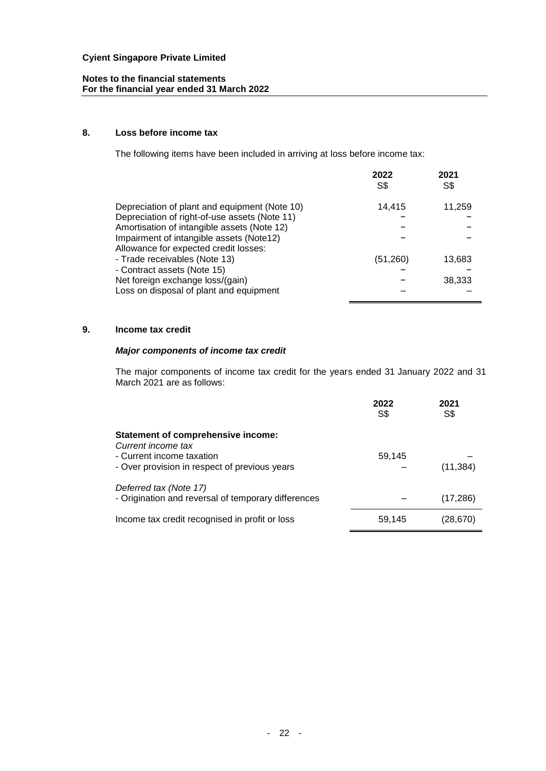## **Notes to the financial statements For the financial year ended 31 March 2022**

## **8. Loss before income tax**

The following items have been included in arriving at loss before income tax:

|                                               | 2022<br>S\$ | 2021<br>S\$ |
|-----------------------------------------------|-------------|-------------|
| Depreciation of plant and equipment (Note 10) | 14,415      | 11,259      |
| Depreciation of right-of-use assets (Note 11) |             |             |
| Amortisation of intangible assets (Note 12)   |             |             |
| Impairment of intangible assets (Note12)      |             |             |
| Allowance for expected credit losses:         |             |             |
| - Trade receivables (Note 13)                 | (51,260)    | 13,683      |
| - Contract assets (Note 15)                   |             |             |
| Net foreign exchange loss/(gain)              |             | 38,333      |
| Loss on disposal of plant and equipment       |             |             |

## **9. Income tax credit**

## *Major components of income tax credit*

The major components of income tax credit for the years ended 31 January 2022 and 31 March 2021 are as follows:

|                                                     | 2022<br>S\$ | 2021<br>S\$ |
|-----------------------------------------------------|-------------|-------------|
| <b>Statement of comprehensive income:</b>           |             |             |
| Current income tax<br>- Current income taxation     | 59,145      |             |
| - Over provision in respect of previous years       |             | (11,384)    |
| Deferred tax (Note 17)                              |             |             |
| - Origination and reversal of temporary differences |             | (17, 286)   |
| Income tax credit recognised in profit or loss      | 59,145      | (28.670)    |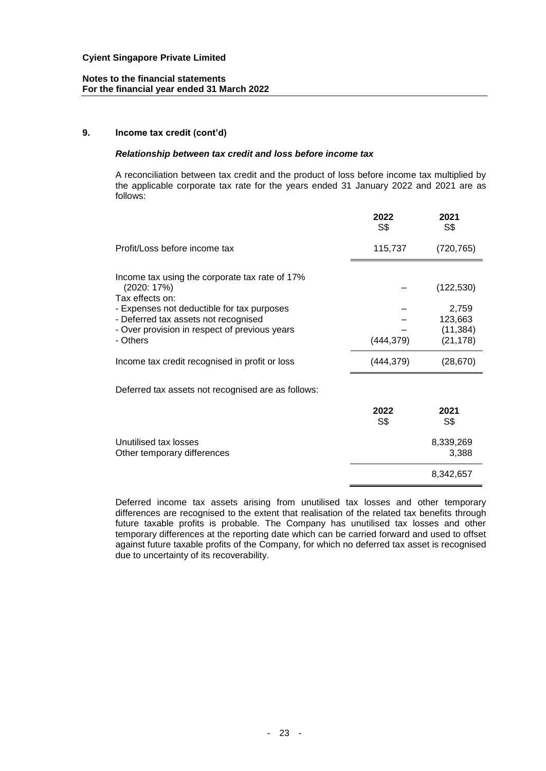## **Notes to the financial statements For the financial year ended 31 March 2022**

## **9. Income tax credit (cont'd)**

#### *Relationship between tax credit and loss before income tax*

A reconciliation between tax credit and the product of loss before income tax multiplied by the applicable corporate tax rate for the years ended 31 January 2022 and 2021 are as follows:

|                                                                                                                                                 | 2022<br>S\$ | 2021<br>S\$                                |
|-------------------------------------------------------------------------------------------------------------------------------------------------|-------------|--------------------------------------------|
| Profit/Loss before income tax                                                                                                                   | 115,737     | (720, 765)                                 |
| Income tax using the corporate tax rate of 17%<br>(2020: 17%)<br>Tax effects on:                                                                |             | (122, 530)                                 |
| - Expenses not deductible for tax purposes<br>- Deferred tax assets not recognised<br>- Over provision in respect of previous years<br>- Others | (444, 379)  | 2,759<br>123,663<br>(11, 384)<br>(21, 178) |
| Income tax credit recognised in profit or loss                                                                                                  | (444, 379)  | (28, 670)                                  |
| Deferred tax assets not recognised are as follows:                                                                                              |             |                                            |
|                                                                                                                                                 | 2022<br>S\$ | 2021<br>S\$                                |
| Unutilised tax losses<br>Other temporary differences                                                                                            |             | 8,339,269<br>3,388                         |
|                                                                                                                                                 |             | 8,342,657                                  |

Deferred income tax assets arising from unutilised tax losses and other temporary differences are recognised to the extent that realisation of the related tax benefits through future taxable profits is probable. The Company has unutilised tax losses and other temporary differences at the reporting date which can be carried forward and used to offset against future taxable profits of the Company, for which no deferred tax asset is recognised due to uncertainty of its recoverability.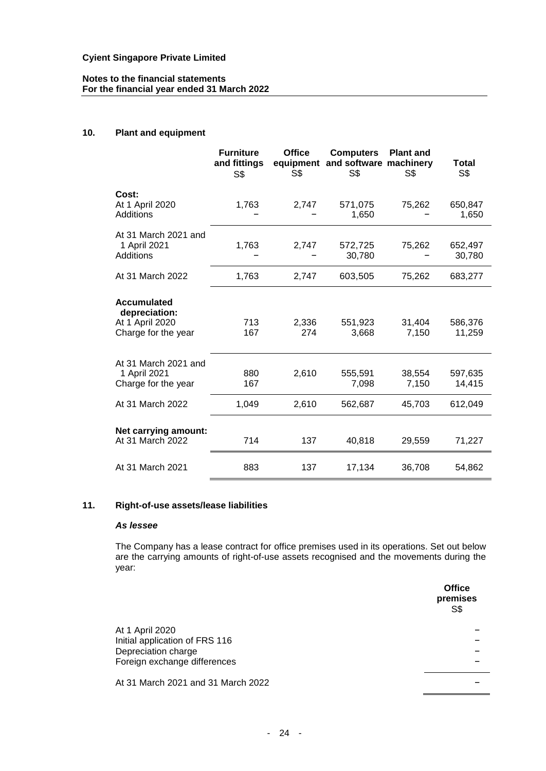## **Notes to the financial statements For the financial year ended 31 March 2022**

## **10. Plant and equipment**

|                                                                        | <b>Furniture</b><br>and fittings<br>S\$ | <b>Office</b><br>equipment<br>S\$ | <b>Computers</b><br>and software machinery<br>S\$ | <b>Plant and</b><br>S\$ | Total<br>S\$      |
|------------------------------------------------------------------------|-----------------------------------------|-----------------------------------|---------------------------------------------------|-------------------------|-------------------|
| Cost:<br>At 1 April 2020<br>Additions                                  | 1,763                                   | 2,747                             | 571,075<br>1,650                                  | 75,262                  | 650,847<br>1,650  |
| At 31 March 2021 and<br>1 April 2021<br>Additions                      | 1,763                                   | 2,747                             | 572,725<br>30,780                                 | 75,262                  | 652,497<br>30,780 |
| At 31 March 2022                                                       | 1,763                                   | 2,747                             | 603,505                                           | 75,262                  | 683,277           |
| Accumulated<br>depreciation:<br>At 1 April 2020<br>Charge for the year | 713<br>167                              | 2,336<br>274                      | 551,923<br>3,668                                  | 31,404<br>7,150         | 586,376<br>11,259 |
| At 31 March 2021 and<br>1 April 2021<br>Charge for the year            | 880<br>167                              | 2,610                             | 555,591<br>7,098                                  | 38,554<br>7,150         | 597,635<br>14,415 |
| At 31 March 2022                                                       | 1,049                                   | 2,610                             | 562,687                                           | 45,703                  | 612,049           |
| Net carrying amount:<br>At 31 March 2022                               | 714                                     | 137                               | 40,818                                            | 29,559                  | 71,227            |
| At 31 March 2021                                                       | 883                                     | 137                               | 17,134                                            | 36,708                  | 54,862            |

## **11. Right-of-use assets/lease liabilities**

#### *As lessee*

The Company has a lease contract for office premises used in its operations. Set out below are the carrying amounts of right-of-use assets recognised and the movements during the year:

|                                                                                                          | <b>Office</b><br>premises<br>S\$ |
|----------------------------------------------------------------------------------------------------------|----------------------------------|
| At 1 April 2020<br>Initial application of FRS 116<br>Depreciation charge<br>Foreign exchange differences |                                  |
| At 31 March 2021 and 31 March 2022                                                                       |                                  |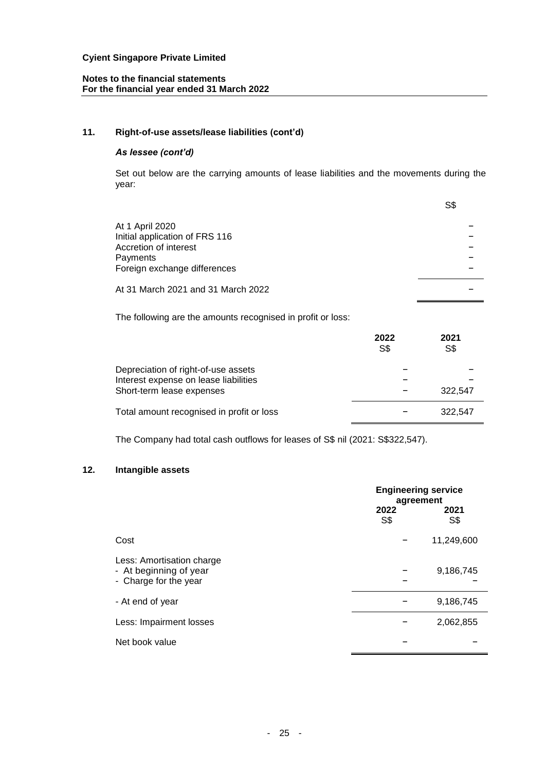## **Notes to the financial statements For the financial year ended 31 March 2022**

## **11. Right-of-use assets/lease liabilities (cont'd)**

## *As lessee (cont'd)*

Set out below are the carrying amounts of lease liabilities and the movements during the year:

|                                    | S\$ |
|------------------------------------|-----|
| At 1 April 2020                    |     |
| Initial application of FRS 116     |     |
| Accretion of interest              |     |
| Payments                           |     |
| Foreign exchange differences       |     |
| At 31 March 2021 and 31 March 2022 |     |

The following are the amounts recognised in profit or loss:

|                                                                              | 2022<br>S\$ | 2021<br>S\$ |
|------------------------------------------------------------------------------|-------------|-------------|
| Depreciation of right-of-use assets<br>Interest expense on lease liabilities |             |             |
| Short-term lease expenses                                                    |             | 322.547     |
| Total amount recognised in profit or loss                                    |             | 322.547     |

The Company had total cash outflows for leases of S\$ nil (2021: S\$322,547).

## **12. Intangible assets**

|                                                                              | <b>Engineering service</b><br>agreement |             |
|------------------------------------------------------------------------------|-----------------------------------------|-------------|
|                                                                              | 2022<br>S\$                             | 2021<br>S\$ |
| Cost                                                                         |                                         | 11,249,600  |
| Less: Amortisation charge<br>- At beginning of year<br>- Charge for the year |                                         | 9,186,745   |
| - At end of year                                                             |                                         | 9,186,745   |
| Less: Impairment losses                                                      |                                         | 2,062,855   |
| Net book value                                                               |                                         |             |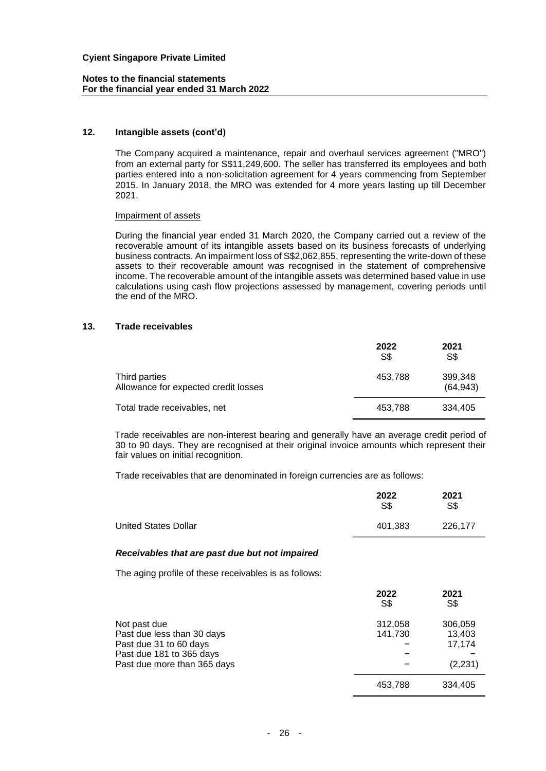#### **Notes to the financial statements For the financial year ended 31 March 2022**

## **12. Intangible assets (cont'd)**

The Company acquired a maintenance, repair and overhaul services agreement ("MRO") from an external party for S\$11,249,600. The seller has transferred its employees and both parties entered into a non-solicitation agreement for 4 years commencing from September 2015. In January 2018, the MRO was extended for 4 more years lasting up till December 2021.

#### Impairment of assets

During the financial year ended 31 March 2020, the Company carried out a review of the recoverable amount of its intangible assets based on its business forecasts of underlying business contracts. An impairment loss of S\$2,062,855, representing the write-down of these assets to their recoverable amount was recognised in the statement of comprehensive income. The recoverable amount of the intangible assets was determined based value in use calculations using cash flow projections assessed by management, covering periods until the end of the MRO.

#### **13. Trade receivables**

|                                                       | 2022<br>S\$ | 2021<br>S\$          |
|-------------------------------------------------------|-------------|----------------------|
| Third parties<br>Allowance for expected credit losses | 453,788     | 399,348<br>(64, 943) |
| Total trade receivables, net                          | 453,788     | 334,405              |

Trade receivables are non-interest bearing and generally have an average credit period of 30 to 90 days. They are recognised at their original invoice amounts which represent their fair values on initial recognition.

Trade receivables that are denominated in foreign currencies are as follows:

|                                                       | 2022<br>S\$ | 2021<br>S\$ |
|-------------------------------------------------------|-------------|-------------|
| <b>United States Dollar</b>                           | 401,383     | 226,177     |
| Receivables that are past due but not impaired        |             |             |
| The aging profile of these receivables is as follows: |             |             |

|                                                                                                                                 | 2022<br>S\$        | 2021<br>S\$                             |
|---------------------------------------------------------------------------------------------------------------------------------|--------------------|-----------------------------------------|
| Not past due<br>Past due less than 30 days<br>Past due 31 to 60 days<br>Past due 181 to 365 days<br>Past due more than 365 days | 312,058<br>141,730 | 306,059<br>13,403<br>17,174<br>(2, 231) |
|                                                                                                                                 | 453,788            | 334,405                                 |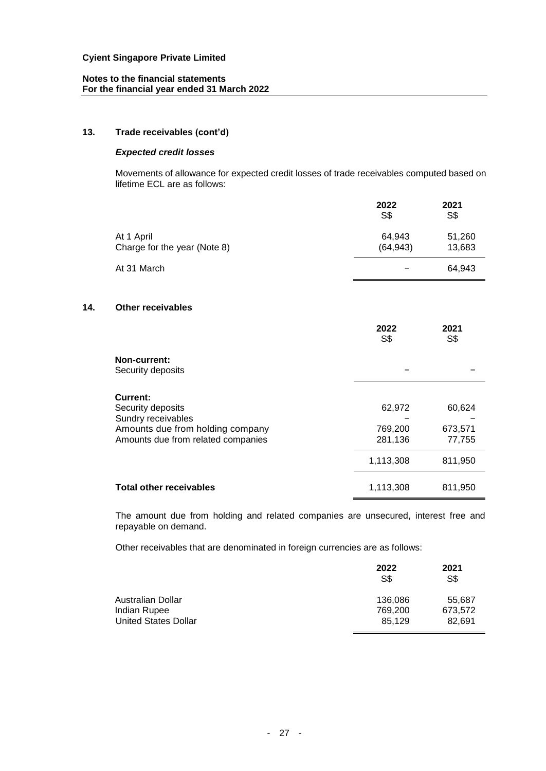## **Notes to the financial statements For the financial year ended 31 March 2022**

## **13. Trade receivables (cont'd)**

## *Expected credit losses*

Movements of allowance for expected credit losses of trade receivables computed based on lifetime ECL are as follows:

|                                            | 2022<br>S\$         | 2021<br>S\$      |
|--------------------------------------------|---------------------|------------------|
| At 1 April<br>Charge for the year (Note 8) | 64,943<br>(64, 943) | 51,260<br>13,683 |
| At 31 March                                |                     | 64,943           |

## **14. Other receivables**

|                                                                                                                               | 2022<br>S\$                  | 2021<br>S\$                 |
|-------------------------------------------------------------------------------------------------------------------------------|------------------------------|-----------------------------|
| Non-current:<br>Security deposits                                                                                             |                              |                             |
| Current:<br>Security deposits<br>Sundry receivables<br>Amounts due from holding company<br>Amounts due from related companies | 62,972<br>769,200<br>281,136 | 60,624<br>673,571<br>77,755 |
|                                                                                                                               | 1,113,308                    | 811,950                     |
| <b>Total other receivables</b>                                                                                                | 1,113,308                    | 811,950                     |

The amount due from holding and related companies are unsecured, interest free and repayable on demand.

Other receivables that are denominated in foreign currencies are as follows:

|                      | 2022<br>S\$ | 2021<br>S\$ |
|----------------------|-------------|-------------|
| Australian Dollar    | 136.086     | 55.687      |
| Indian Rupee         | 769.200     | 673,572     |
| United States Dollar | 85.129      | 82,691      |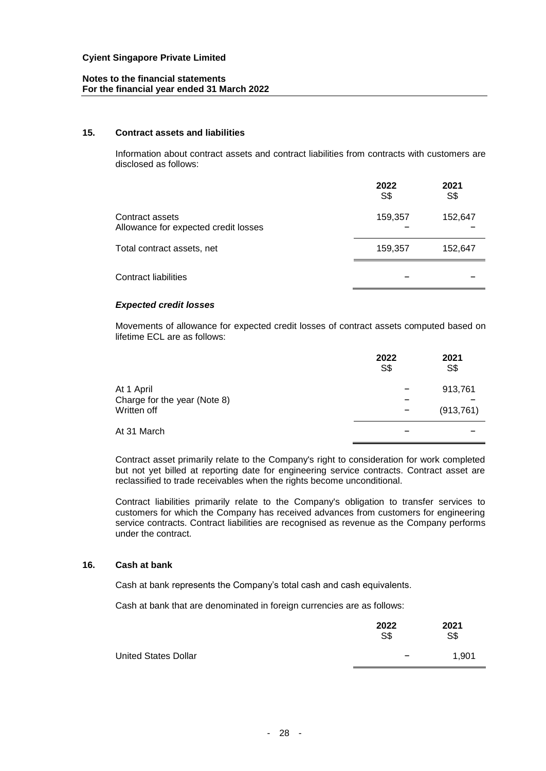## **Notes to the financial statements For the financial year ended 31 March 2022**

#### **15. Contract assets and liabilities**

Information about contract assets and contract liabilities from contracts with customers are disclosed as follows:

|                                                         | 2022<br>S\$ | 2021<br>S\$ |
|---------------------------------------------------------|-------------|-------------|
| Contract assets<br>Allowance for expected credit losses | 159,357     | 152,647     |
| Total contract assets, net                              | 159,357     | 152,647     |
| <b>Contract liabilities</b>                             |             |             |

#### *Expected credit losses*

Movements of allowance for expected credit losses of contract assets computed based on lifetime ECL are as follows:

|                              | 2022<br>S\$ | 2021<br>S\$ |
|------------------------------|-------------|-------------|
| At 1 April                   |             | 913,761     |
| Charge for the year (Note 8) |             |             |
| Written off                  |             | (913, 761)  |
| At 31 March                  |             |             |

Contract asset primarily relate to the Company's right to consideration for work completed but not yet billed at reporting date for engineering service contracts. Contract asset are reclassified to trade receivables when the rights become unconditional.

Contract liabilities primarily relate to the Company's obligation to transfer services to customers for which the Company has received advances from customers for engineering service contracts. Contract liabilities are recognised as revenue as the Company performs under the contract.

## **16. Cash at bank**

Cash at bank represents the Company's total cash and cash equivalents.

Cash at bank that are denominated in foreign currencies are as follows:

|                             | 2022<br>S\$              | 2021<br>S\$ |
|-----------------------------|--------------------------|-------------|
| <b>United States Dollar</b> | $\overline{\phantom{a}}$ | 1,901       |
|                             |                          |             |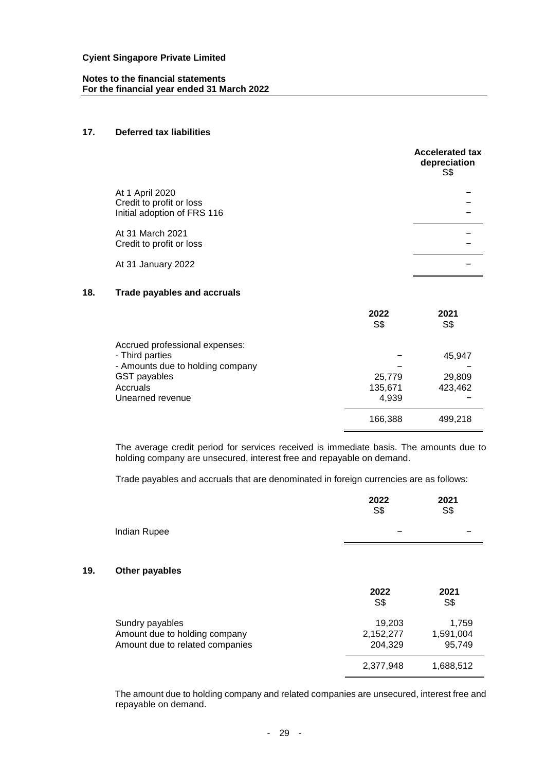## **Notes to the financial statements For the financial year ended 31 March 2022**

#### **17. Deferred tax liabilities**

|                                                                            | <b>Accelerated tax</b><br>depreciation<br>S\$ |
|----------------------------------------------------------------------------|-----------------------------------------------|
| At 1 April 2020<br>Credit to profit or loss<br>Initial adoption of FRS 116 |                                               |
| At 31 March 2021<br>Credit to profit or loss                               |                                               |
| At 31 January 2022                                                         |                                               |

#### **18. Trade payables and accruals**

**19. Other payables**

|                                  | 2022<br>S\$ | 2021<br>S\$ |
|----------------------------------|-------------|-------------|
| Accrued professional expenses:   |             |             |
| - Third parties                  |             | 45.947      |
| - Amounts due to holding company |             |             |
| <b>GST</b> payables              | 25,779      | 29,809      |
| Accruals                         | 135,671     | 423,462     |
| Unearned revenue                 | 4,939       |             |
|                                  | 166,388     | 499.218     |

The average credit period for services received is immediate basis. The amounts due to holding company are unsecured, interest free and repayable on demand.

Trade payables and accruals that are denominated in foreign currencies are as follows:

|                                                                                     | 2022<br>S\$                    | 2021<br>S\$                  |
|-------------------------------------------------------------------------------------|--------------------------------|------------------------------|
| Indian Rupee                                                                        |                                |                              |
| <b>Other payables</b>                                                               |                                |                              |
|                                                                                     | 2022<br>S\$                    | 2021<br>S\$                  |
| Sundry payables<br>Amount due to holding company<br>Amount due to related companies | 19,203<br>2,152,277<br>204,329 | 1,759<br>1,591,004<br>95,749 |
|                                                                                     | 2,377,948                      | 1,688,512                    |

The amount due to holding company and related companies are unsecured, interest free and repayable on demand.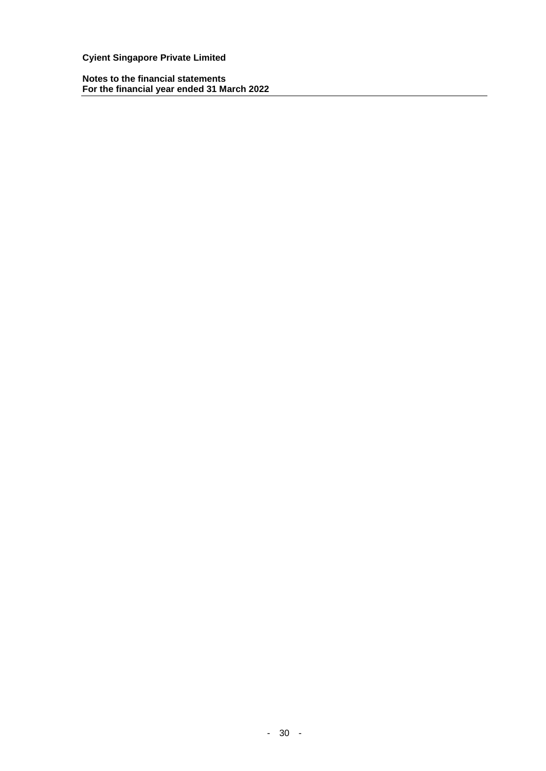**Notes to the financial statements For the financial year ended 31 March 2022**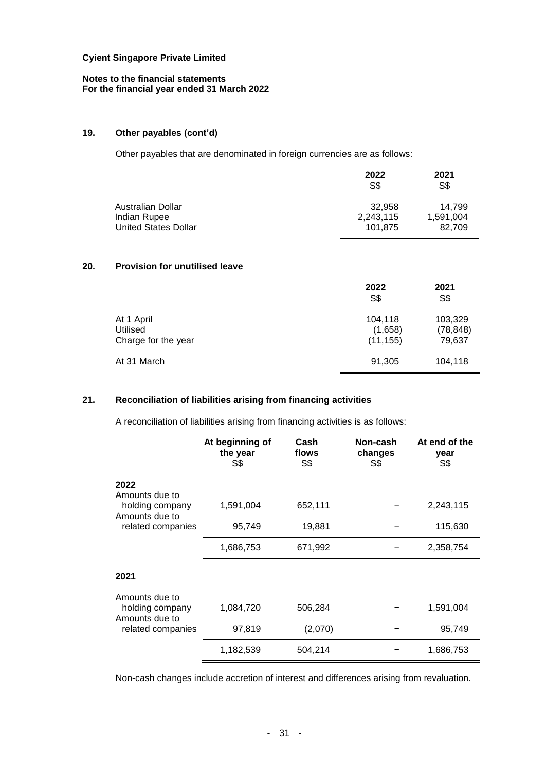## **Notes to the financial statements For the financial year ended 31 March 2022**

## **19. Other payables (cont'd)**

Other payables that are denominated in foreign currencies are as follows:

|                      | 2022<br>S\$ | 2021<br>S\$ |
|----------------------|-------------|-------------|
| Australian Dollar    | 32.958      | 14.799      |
| Indian Rupee         | 2,243,115   | 1,591,004   |
| United States Dollar | 101.875     | 82.709      |

## **20. Provision for unutilised leave**

|                                               | 2022<br>S\$                     | 2021<br>S\$                    |
|-----------------------------------------------|---------------------------------|--------------------------------|
| At 1 April<br>Utilised<br>Charge for the year | 104,118<br>(1,658)<br>(11, 155) | 103,329<br>(78, 848)<br>79,637 |
| At 31 March                                   | 91,305                          | 104,118                        |

## **21. Reconciliation of liabilities arising from financing activities**

A reconciliation of liabilities arising from financing activities is as follows:

|                                     | At beginning of<br>the year<br>S\$ | Cash<br>flows<br>S\$ | Non-cash<br>changes<br>S\$ | At end of the<br>year<br>S\$ |
|-------------------------------------|------------------------------------|----------------------|----------------------------|------------------------------|
| 2022<br>Amounts due to              |                                    |                      |                            |                              |
| holding company<br>Amounts due to   | 1,591,004                          | 652,111              |                            | 2,243,115                    |
| related companies                   | 95,749                             | 19,881               |                            | 115,630                      |
|                                     | 1,686,753                          | 671,992              |                            | 2,358,754                    |
| 2021                                |                                    |                      |                            |                              |
| Amounts due to<br>holding company   | 1,084,720                          | 506,284              |                            | 1,591,004                    |
| Amounts due to<br>related companies | 97,819                             | (2,070)              |                            | 95,749                       |
|                                     | 1,182,539                          | 504,214              |                            | 1,686,753                    |

Non-cash changes include accretion of interest and differences arising from revaluation.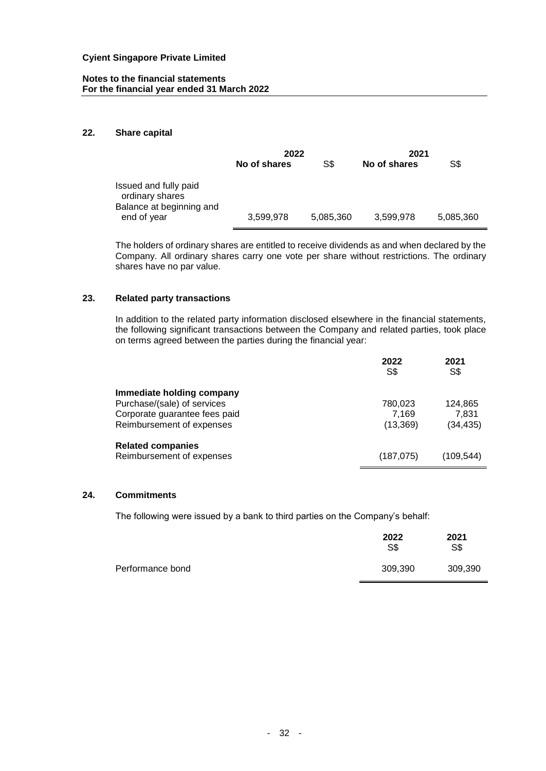## **Notes to the financial statements For the financial year ended 31 March 2022**

#### **22. Share capital**

|                                                                                     | 2022         |           | 2021         |           |
|-------------------------------------------------------------------------------------|--------------|-----------|--------------|-----------|
|                                                                                     | No of shares | S\$       | No of shares | S\$       |
| Issued and fully paid<br>ordinary shares<br>Balance at beginning and<br>end of year | 3,599,978    | 5,085,360 | 3,599,978    | 5,085,360 |

The holders of ordinary shares are entitled to receive dividends as and when declared by the Company. All ordinary shares carry one vote per share without restrictions. The ordinary shares have no par value.

## **23. Related party transactions**

In addition to the related party information disclosed elsewhere in the financial statements, the following significant transactions between the Company and related parties, took place on terms agreed between the parties during the financial year:

|                               | 2022<br>S\$ | 2021<br>S\$ |
|-------------------------------|-------------|-------------|
| Immediate holding company     |             |             |
| Purchase/(sale) of services   | 780,023     | 124,865     |
| Corporate guarantee fees paid | 7.169       | 7,831       |
| Reimbursement of expenses     | (13, 369)   | (34, 435)   |
| <b>Related companies</b>      |             |             |
| Reimbursement of expenses     | (187, 075)  | (109, 544)  |

## **24. Commitments**

The following were issued by a bank to third parties on the Company's behalf:

|                  | 2022<br>S\$ | 2021<br>S\$ |
|------------------|-------------|-------------|
| Performance bond | 309,390     | 309,390     |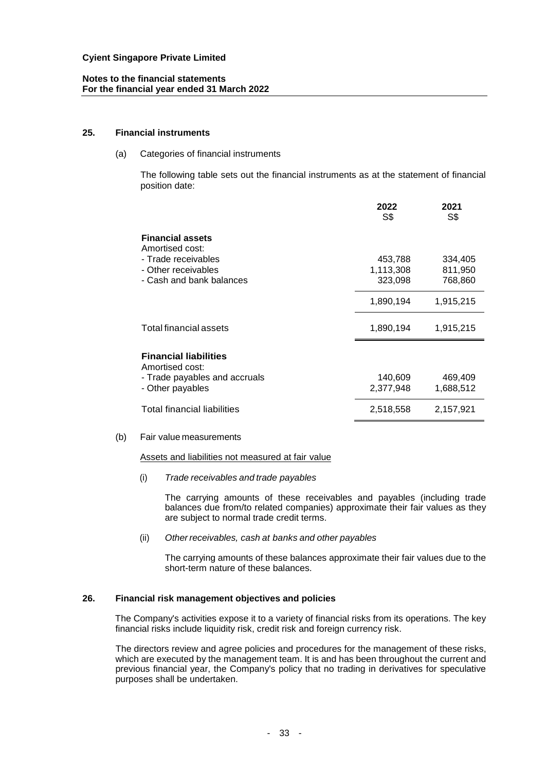## **Notes to the financial statements For the financial year ended 31 March 2022**

#### **25. Financial instruments**

(a) Categories of financial instruments

The following table sets out the financial instruments as at the statement of financial position date:

|                                                 | 2022<br>S\$ | 2021<br>S\$ |
|-------------------------------------------------|-------------|-------------|
| <b>Financial assets</b><br>Amortised cost:      |             |             |
| - Trade receivables                             | 453,788     | 334,405     |
| - Other receivables                             | 1,113,308   | 811,950     |
| - Cash and bank balances                        | 323,098     | 768,860     |
|                                                 | 1,890,194   | 1,915,215   |
| Total financial assets                          | 1,890,194   | 1,915,215   |
| <b>Financial liabilities</b><br>Amortised cost: |             |             |
| - Trade payables and accruals                   | 140,609     | 469,409     |
| - Other payables                                | 2,377,948   | 1,688,512   |
| Total financial liabilities                     | 2,518,558   | 2,157,921   |
|                                                 |             |             |

(b) Fair value measurements

Assets and liabilities not measured at fair value

(i) *Trade receivables and trade payables*

The carrying amounts of these receivables and payables (including trade balances due from/to related companies) approximate their fair values as they are subject to normal trade credit terms.

(ii) *Other receivables, cash at banks and other payables*

The carrying amounts of these balances approximate their fair values due to the short-term nature of these balances.

## **26. Financial risk management objectives and policies**

The Company's activities expose it to a variety of financial risks from its operations. The key financial risks include liquidity risk, credit risk and foreign currency risk.

The directors review and agree policies and procedures for the management of these risks, which are executed by the management team. It is and has been throughout the current and previous financial year, the Company's policy that no trading in derivatives for speculative purposes shall be undertaken.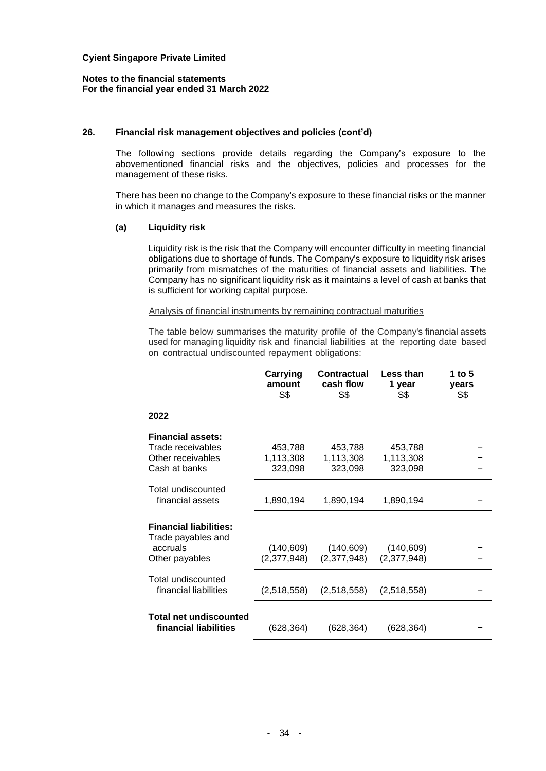#### **Notes to the financial statements For the financial year ended 31 March 2022**

## **26. Financial risk management objectives and policies (cont'd)**

The following sections provide details regarding the Company's exposure to the abovementioned financial risks and the objectives, policies and processes for the management of these risks.

There has been no change to the Company's exposure to these financial risks or the manner in which it manages and measures the risks.

#### **(a) Liquidity risk**

Liquidity risk is the risk that the Company will encounter difficulty in meeting financial obligations due to shortage of funds. The Company's exposure to liquidity risk arises primarily from mismatches of the maturities of financial assets and liabilities. The Company has no significant liquidity risk as it maintains a level of cash at banks that is sufficient for working capital purpose.

#### Analysis of financial instruments by remaining contractual maturities

The table below summarises the maturity profile of the Company's financial assets used for managing liquidity risk and financial liabilities at the reporting date based on contractual undiscounted repayment obligations:

|                                                     | <b>Carrying</b><br>amount<br>S\$ | <b>Contractual</b><br>cash flow<br>S\$ | Less than<br>1 year<br>S\$ | 1 to 5<br>years<br>S\$ |
|-----------------------------------------------------|----------------------------------|----------------------------------------|----------------------------|------------------------|
| 2022                                                |                                  |                                        |                            |                        |
| <b>Financial assets:</b>                            |                                  |                                        |                            |                        |
| Trade receivables                                   | 453,788                          | 453,788                                | 453,788                    |                        |
| Other receivables                                   | 1,113,308                        | 1,113,308                              | 1,113,308                  |                        |
| Cash at banks                                       | 323,098                          | 323,098                                | 323,098                    |                        |
| Total undiscounted                                  |                                  |                                        |                            |                        |
| financial assets                                    | 1,890,194                        | 1,890,194                              | 1,890,194                  |                        |
| <b>Financial liabilities:</b><br>Trade payables and |                                  |                                        |                            |                        |
| accruals                                            | (140, 609)                       | (140, 609)                             | (140, 609)                 |                        |
| Other payables                                      | (2,377,948)                      | (2,377,948)                            | (2,377,948)                |                        |
| Total undiscounted<br>financial liabilities         | (2,518,558)                      | (2,518,558)                            | (2,518,558)                |                        |
|                                                     |                                  |                                        |                            |                        |
| <b>Total net undiscounted</b>                       |                                  |                                        |                            |                        |
| financial liabilities                               | (628,364)                        | (628, 364)                             | (628, 364)                 |                        |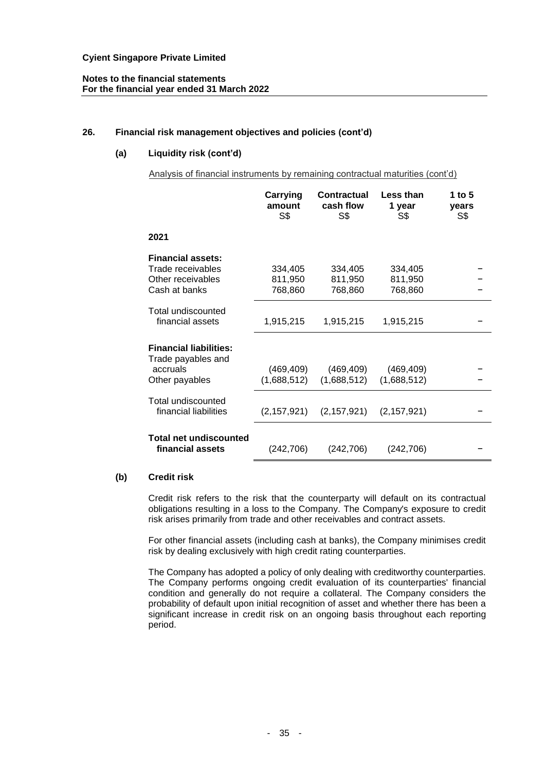## **Notes to the financial statements For the financial year ended 31 March 2022**

## **26. Financial risk management objectives and policies (cont'd)**

## **(a) Liquidity risk (cont'd)**

Analysis of financial instruments by remaining contractual maturities (cont'd)

|                                                                                     | <b>Carrying</b><br>amount<br>S\$ | <b>Contractual</b><br>cash flow<br>S\$ | Less than<br>1 year<br>S\$    | 1 to 5<br>years<br>S\$ |
|-------------------------------------------------------------------------------------|----------------------------------|----------------------------------------|-------------------------------|------------------------|
| 2021                                                                                |                                  |                                        |                               |                        |
| <b>Financial assets:</b><br>Trade receivables<br>Other receivables<br>Cash at banks | 334,405<br>811,950<br>768,860    | 334,405<br>811,950<br>768,860          | 334,405<br>811,950<br>768,860 |                        |
| Total undiscounted<br>financial assets                                              | 1,915,215                        | 1,915,215                              | 1,915,215                     |                        |
| <b>Financial liabilities:</b><br>Trade payables and<br>accruals<br>Other payables   | (469,409)<br>(1,688,512)         | (469, 409)<br>(1,688,512)              | (469, 409)<br>(1,688,512)     |                        |
| Total undiscounted<br>financial liabilities                                         | (2, 157, 921)                    | (2, 157, 921)                          | (2, 157, 921)                 |                        |
| <b>Total net undiscounted</b><br>financial assets                                   | (242, 706)                       | (242, 706)                             | (242,706)                     |                        |

## **(b) Credit risk**

Credit risk refers to the risk that the counterparty will default on its contractual obligations resulting in a loss to the Company. The Company's exposure to credit risk arises primarily from trade and other receivables and contract assets.

For other financial assets (including cash at banks), the Company minimises credit risk by dealing exclusively with high credit rating counterparties.

The Company has adopted a policy of only dealing with creditworthy counterparties. The Company performs ongoing credit evaluation of its counterparties' financial condition and generally do not require a collateral. The Company considers the probability of default upon initial recognition of asset and whether there has been a significant increase in credit risk on an ongoing basis throughout each reporting period.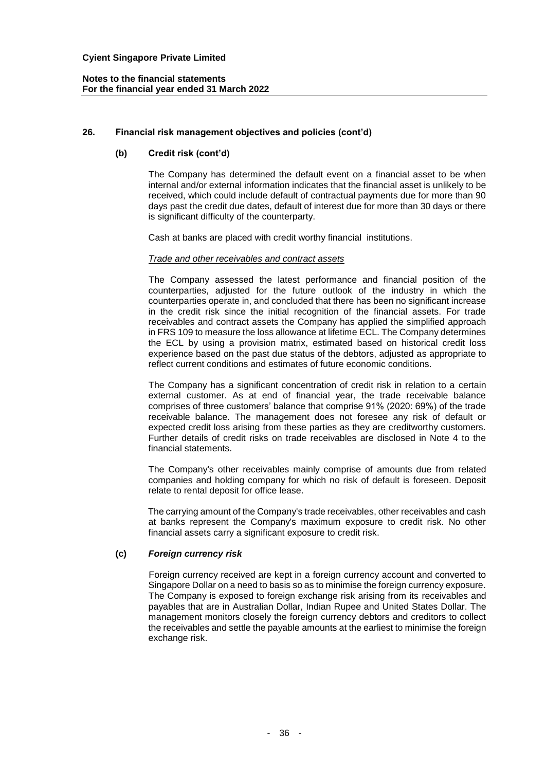## **Notes to the financial statements For the financial year ended 31 March 2022**

#### **26. Financial risk management objectives and policies (cont'd)**

#### **(b) Credit risk (cont'd)**

The Company has determined the default event on a financial asset to be when internal and/or external information indicates that the financial asset is unlikely to be received, which could include default of contractual payments due for more than 90 days past the credit due dates, default of interest due for more than 30 days or there is significant difficulty of the counterparty.

Cash at banks are placed with credit worthy financial institutions.

#### *Trade and other receivables and contract assets*

The Company assessed the latest performance and financial position of the counterparties, adjusted for the future outlook of the industry in which the counterparties operate in, and concluded that there has been no significant increase in the credit risk since the initial recognition of the financial assets. For trade receivables and contract assets the Company has applied the simplified approach in FRS 109 to measure the loss allowance at lifetime ECL. The Company determines the ECL by using a provision matrix, estimated based on historical credit loss experience based on the past due status of the debtors, adjusted as appropriate to reflect current conditions and estimates of future economic conditions.

The Company has a significant concentration of credit risk in relation to a certain external customer. As at end of financial year, the trade receivable balance comprises of three customers' balance that comprise 91% (2020: 69%) of the trade receivable balance. The management does not foresee any risk of default or expected credit loss arising from these parties as they are creditworthy customers. Further details of credit risks on trade receivables are disclosed in Note 4 to the financial statements.

The Company's other receivables mainly comprise of amounts due from related companies and holding company for which no risk of default is foreseen. Deposit relate to rental deposit for office lease.

The carrying amount of the Company's trade receivables, other receivables and cash at banks represent the Company's maximum exposure to credit risk. No other financial assets carry a significant exposure to credit risk.

#### **(c)** *Foreign currency risk*

Foreign currency received are kept in a foreign currency account and converted to Singapore Dollar on a need to basis so as to minimise the foreign currency exposure. The Company is exposed to foreign exchange risk arising from its receivables and payables that are in Australian Dollar, Indian Rupee and United States Dollar. The management monitors closely the foreign currency debtors and creditors to collect the receivables and settle the payable amounts at the earliest to minimise the foreign exchange risk.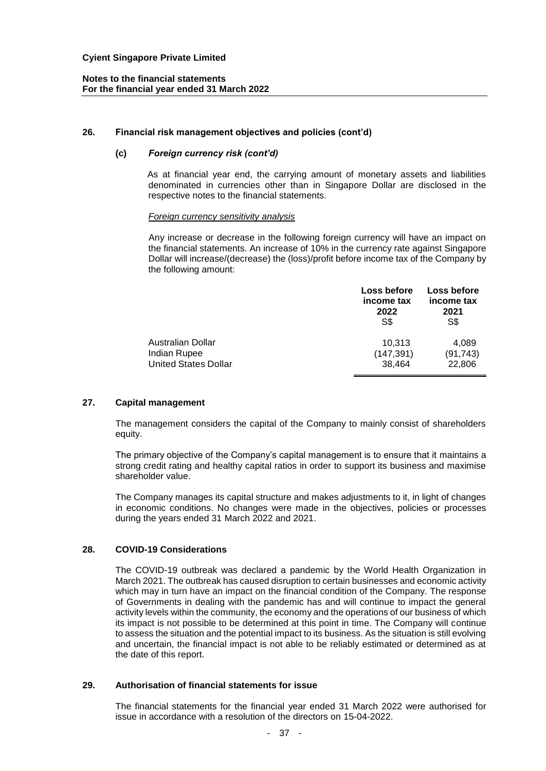## **Notes to the financial statements For the financial year ended 31 March 2022**

#### **26. Financial risk management objectives and policies (cont'd)**

#### **(c)** *Foreign currency risk (cont'd)*

As at financial year end, the carrying amount of monetary assets and liabilities denominated in currencies other than in Singapore Dollar are disclosed in the respective notes to the financial statements.

#### *Foreign currency sensitivity analysis*

Any increase or decrease in the following foreign currency will have an impact on the financial statements. An increase of 10% in the currency rate against Singapore Dollar will increase/(decrease) the (loss)/profit before income tax of the Company by the following amount:

|                                   | Loss before<br>income tax<br>2022<br>S\$ | Loss before<br>income tax<br>2021<br>S\$ |
|-----------------------------------|------------------------------------------|------------------------------------------|
| Australian Dollar<br>Indian Rupee | 10,313<br>(147, 391)                     | 4,089<br>(91, 743)<br>22,806             |
| United States Dollar              | 38,464                                   |                                          |

#### **27. Capital management**

The management considers the capital of the Company to mainly consist of shareholders equity.

The primary objective of the Company's capital management is to ensure that it maintains a strong credit rating and healthy capital ratios in order to support its business and maximise shareholder value.

The Company manages its capital structure and makes adjustments to it, in light of changes in economic conditions. No changes were made in the objectives, policies or processes during the years ended 31 March 2022 and 2021.

### **28. COVID-19 Considerations**

The COVID-19 outbreak was declared a pandemic by the World Health Organization in March 2021. The outbreak has caused disruption to certain businesses and economic activity which may in turn have an impact on the financial condition of the Company. The response of Governments in dealing with the pandemic has and will continue to impact the general activity levels within the community, the economy and the operations of our business of which its impact is not possible to be determined at this point in time. The Company will continue to assess the situation and the potential impact to its business. As the situation is still evolving and uncertain, the financial impact is not able to be reliably estimated or determined as at the date of this report.

#### **29. Authorisation of financial statements for issue**

The financial statements for the financial year ended 31 March 2022 were authorised for issue in accordance with a resolution of the directors on 15-04-2022.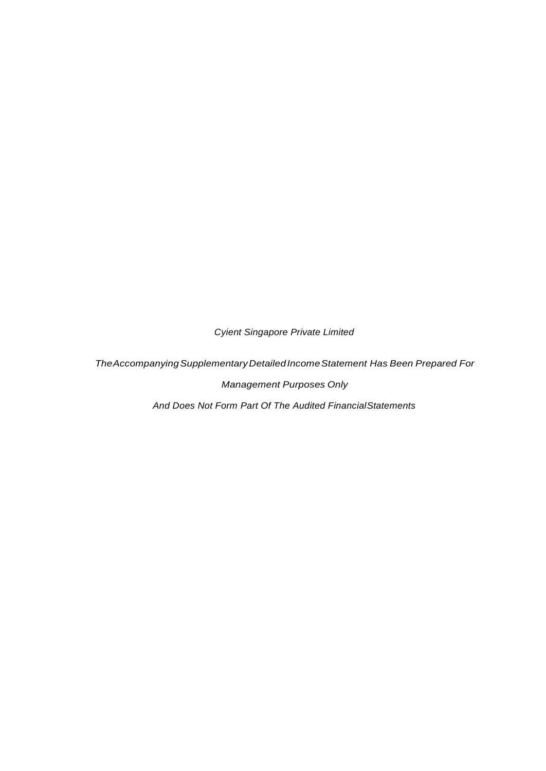*TheAccompanyingSupplementaryDetailedIncomeStatement Has Been Prepared For*

*Management Purposes Only*

*And Does Not Form Part Of The Audited FinancialStatements*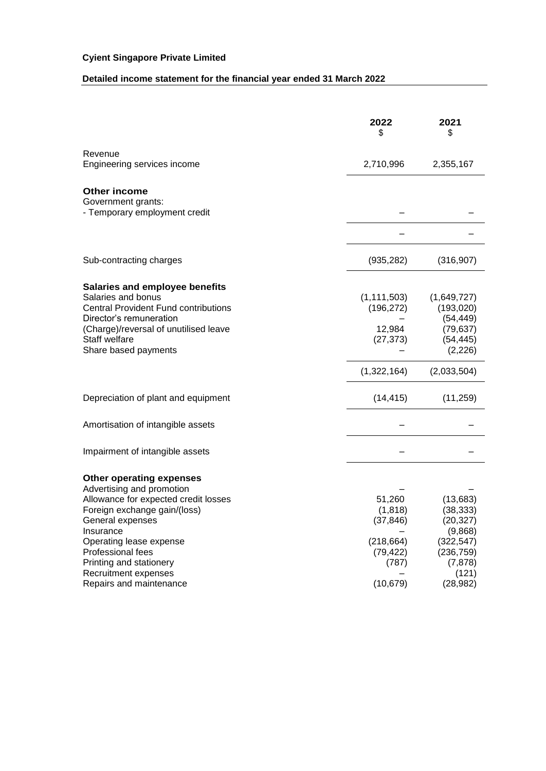## **Detailed income statement for the financial year ended 31 March 2022**

|                                                                                                                                                                                                                                                                                                     | 2022<br>\$                                                                       | 2021<br>\$                                                                                                  |
|-----------------------------------------------------------------------------------------------------------------------------------------------------------------------------------------------------------------------------------------------------------------------------------------------------|----------------------------------------------------------------------------------|-------------------------------------------------------------------------------------------------------------|
| Revenue<br>Engineering services income                                                                                                                                                                                                                                                              | 2,710,996                                                                        | 2,355,167                                                                                                   |
| <b>Other income</b><br>Government grants:<br>- Temporary employment credit                                                                                                                                                                                                                          |                                                                                  |                                                                                                             |
|                                                                                                                                                                                                                                                                                                     |                                                                                  |                                                                                                             |
| Sub-contracting charges                                                                                                                                                                                                                                                                             | (935, 282)                                                                       | (316, 907)                                                                                                  |
| <b>Salaries and employee benefits</b><br>Salaries and bonus<br><b>Central Provident Fund contributions</b><br>Director's remuneration<br>(Charge)/reversal of unutilised leave<br>Staff welfare<br>Share based payments                                                                             | (1, 111, 503)<br>(196, 272)<br>12,984<br>(27, 373)                               | (1,649,727)<br>(193,020)<br>(54, 449)<br>(79, 637)<br>(54, 445)<br>(2, 226)                                 |
|                                                                                                                                                                                                                                                                                                     | (1,322,164)                                                                      | (2,033,504)                                                                                                 |
| Depreciation of plant and equipment                                                                                                                                                                                                                                                                 | (14, 415)                                                                        | (11, 259)                                                                                                   |
| Amortisation of intangible assets                                                                                                                                                                                                                                                                   |                                                                                  |                                                                                                             |
| Impairment of intangible assets                                                                                                                                                                                                                                                                     |                                                                                  |                                                                                                             |
| <b>Other operating expenses</b><br>Advertising and promotion<br>Allowance for expected credit losses<br>Foreign exchange gain/(loss)<br>General expenses<br>Insurance<br>Operating lease expense<br>Professional fees<br>Printing and stationery<br>Recruitment expenses<br>Repairs and maintenance | 51,260<br>(1, 818)<br>(37, 846)<br>(218, 664)<br>(79, 422)<br>(787)<br>(10, 679) | (13,683)<br>(38, 333)<br>(20, 327)<br>(9,868)<br>(322, 547)<br>(236, 759)<br>(7, 878)<br>(121)<br>(28, 982) |